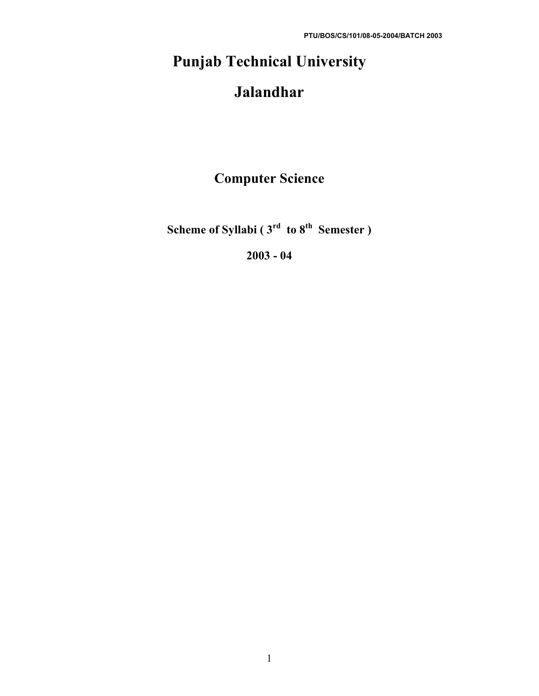# **Punjab Technical University**

# **Jalandhar**

# **Computer Science**

Scheme of Syllabi ( $3<sup>rd</sup>$  to  $8<sup>th</sup>$  Semester )

**2003 - 04**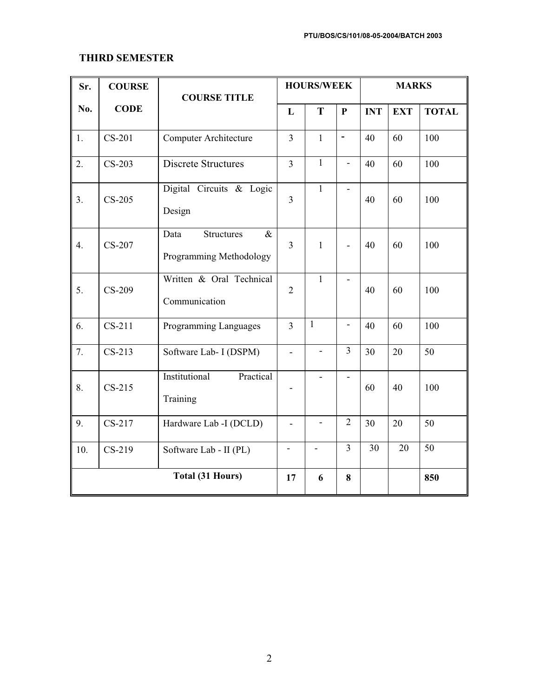# **THIRD SEMESTER**

| Sr.              | <b>COURSE</b> | <b>COURSE TITLE</b>                                                                                 |                | <b>HOURS/WEEK</b>        |                          | <b>MARKS</b> |            |              |
|------------------|---------------|-----------------------------------------------------------------------------------------------------|----------------|--------------------------|--------------------------|--------------|------------|--------------|
| No.              | <b>CODE</b>   |                                                                                                     | L              | T                        | $\mathbf{P}$             | <b>INT</b>   | <b>EXT</b> | <b>TOTAL</b> |
| 1.               | CS-201        | <b>Computer Architecture</b>                                                                        | $\overline{3}$ | $\mathbf{1}$             | $\overline{a}$           | 40           | 60         | 100          |
| $\overline{2}$ . | $CS-203$      | <b>Discrete Structures</b>                                                                          | $\overline{3}$ | $\mathbf{1}$             | $\overline{\phantom{0}}$ | 40           | 60         | 100          |
| 3.               | $CS-205$      | Digital Circuits & Logic<br>$\mathbf{1}$<br>$\overline{a}$<br>$\overline{3}$<br>Design              |                |                          |                          | 40           | 60         | 100          |
| $\overline{4}$ . | CS-207        | <b>Structures</b><br>Data<br>$\&$<br>$\overline{3}$<br>$\mathbf{1}$<br>۳<br>Programming Methodology |                |                          | 40                       | 60           | 100        |              |
| 5.               | $CS-209$      | Written & Oral Technical<br>Communication                                                           | $\overline{2}$ | $\mathbf{1}$             | $\blacksquare$           | 40           | 60         | 100          |
| 6.               | $CS-211$      | Programming Languages                                                                               | $\overline{3}$ | $\mathbf{1}$             | $\frac{1}{2}$            | 40           | 60         | 100          |
| 7.               | $CS-213$      | Software Lab- I (DSPM)                                                                              | ÷,             | ÷,                       | $\overline{3}$           | 30           | 20         | 50           |
| 8.               | $CS-215$      | Institutional<br>Practical<br>Training                                                              |                | ÷.                       | $\overline{\phantom{a}}$ | 60           | 40         | 100          |
| 9.               | CS-217        | Hardware Lab -I (DCLD)                                                                              |                | ÷.                       | $\overline{2}$           | 30           | 20         | 50           |
| 10.              | $CS-219$      | Software Lab - II (PL)                                                                              | ÷,             | $\overline{\phantom{0}}$ | $\overline{3}$           | 30           | 20         | 50           |
|                  |               | <b>Total (31 Hours)</b>                                                                             | 17             | 6                        | 8                        |              |            | 850          |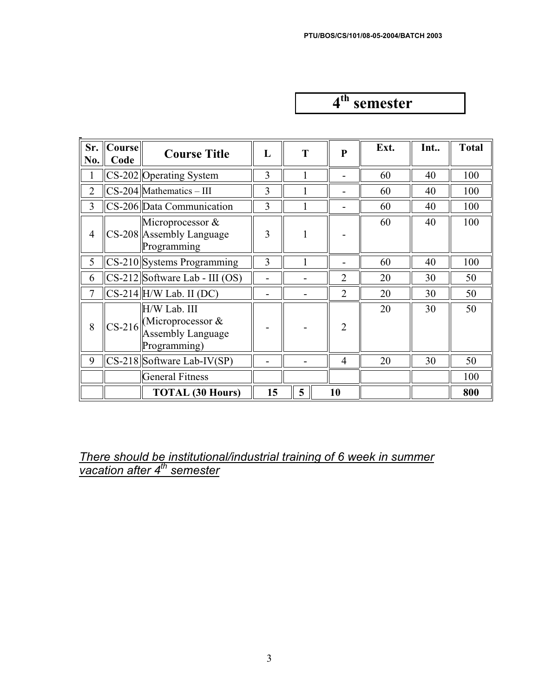# **4th semester**

| Sr.<br>No.     | <b>Course</b><br>Code | <b>Course Title</b>                                                                     | L  | T | P              | Ext. | Int | <b>Total</b> |
|----------------|-----------------------|-----------------------------------------------------------------------------------------|----|---|----------------|------|-----|--------------|
|                |                       | $CS-202$  Operating System                                                              | 3  |   |                | 60   | 40  | 100          |
| $\overline{2}$ |                       | $CS-204$ Mathematics – III                                                              | 3  |   |                | 60   | 40  | 100          |
| 3              |                       | CS-206 Data Communication                                                               | 3  |   |                | 60   | 40  | 100          |
| $\overline{4}$ |                       | Microprocessor $&$<br>$CS-208$ Assembly Language<br>Programming                         | 3  |   |                | 60   | 40  | 100          |
| 5              |                       | $CS-210$ Systems Programming                                                            | 3  |   |                | 60   | 40  | 100          |
| 6              |                       | $CS-212$ Software Lab - III (OS)                                                        |    |   | $\overline{2}$ | 20   | 30  | 50           |
| 7              |                       | $CS-214$  H/W Lab. II (DC)                                                              |    |   | $\overline{2}$ | 20   | 30  | 50           |
| 8              |                       | H/W Lab. III<br>$\cos 216$ Microprocessor &<br><b>Assembly Language</b><br>Programming) |    |   | $\overline{2}$ | 20   | 30  | 50           |
| 9              |                       | CS-218 Software Lab-IV(SP)                                                              |    |   | $\overline{4}$ | 20   | 30  | 50           |
|                |                       | <b>General Fitness</b>                                                                  |    |   |                |      |     | 100          |
|                |                       | <b>TOTAL (30 Hours)</b>                                                                 | 15 | 5 | 10             |      |     | 800          |

*There should be institutional/industrial training of 6 week in summer vacation after 4th semester*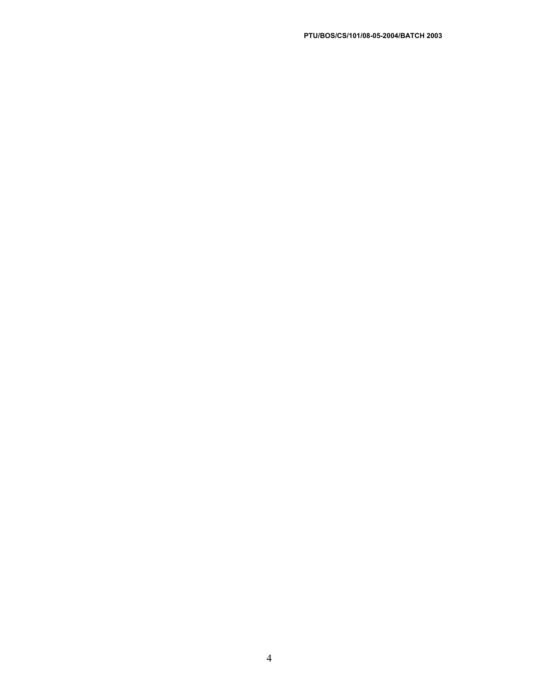**PTU/BOS/CS/101/08-05-2004/BATCH 2003**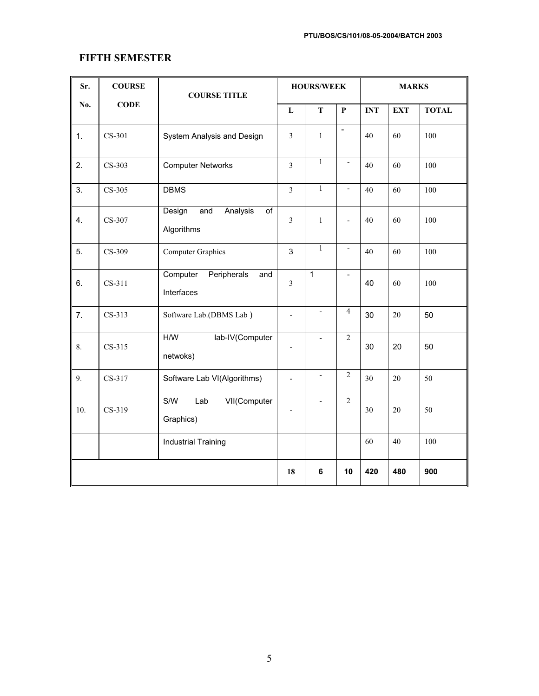# **FIFTH SEMESTER**

| Sr. | <b>COURSE</b> | <b>COURSE TITLE</b>                                                                          |                          | <b>HOURS/WEEK</b>        |                           | <b>MARKS</b> |            |              |  |
|-----|---------------|----------------------------------------------------------------------------------------------|--------------------------|--------------------------|---------------------------|--------------|------------|--------------|--|
| No. | <b>CODE</b>   |                                                                                              | L                        | T                        | $\boldsymbol{\mathrm{P}}$ | <b>INT</b>   | <b>EXT</b> | <b>TOTAL</b> |  |
| 1.  | CS-301        | System Analysis and Design                                                                   | 3                        | $\mathbf{1}$             | ä,                        | 40           | 60         | 100          |  |
| 2.  | CS-303        | <b>Computer Networks</b>                                                                     | $\overline{3}$           | $\mathbf{1}$             | $\overline{\phantom{a}}$  | 40           | 60         | 100          |  |
| 3.  | CS-305        | <b>DBMS</b>                                                                                  | $\overline{3}$           | $\mathbf{1}$             | $\overline{\phantom{a}}$  | 40           | 60         | 100          |  |
| 4.  | CS-307        | Analysis<br>$\overline{of}$<br>Design<br>and<br>$\mathfrak{Z}$<br>$\mathbf{1}$<br>Algorithms |                          |                          | $\overline{a}$            | 40           | 60         | 100          |  |
| 5.  | CS-309        | <b>Computer Graphics</b>                                                                     | $\mathbf{3}$             | $\mathbf{1}$             | $\overline{\phantom{a}}$  | 40           | 60         | 100          |  |
| 6.  | CS-311        | Computer<br>Peripherals<br>and<br>Interfaces                                                 | $\mathfrak{Z}$           | 1                        | $\overline{a}$            | 40           | 60         | 100          |  |
| 7.  | $CS-313$      | Software Lab.(DBMS Lab)                                                                      | $\frac{1}{2}$            |                          | $\overline{4}$            | 30           | 20         | 50           |  |
| 8.  | CS-315        | H/W<br>lab-IV(Computer<br>netwoks)                                                           | $\overline{\phantom{0}}$ | $\overline{a}$           | $\overline{2}$            | 30           | 20         | 50           |  |
| 9.  | CS-317        | Software Lab VI(Algorithms)                                                                  | $\frac{1}{2}$            | $\overline{\phantom{a}}$ | $\overline{2}$            | 30           | 20         | 50           |  |
| 10. | CS-319        | S/W<br>VII(Computer<br>Lab<br>Graphics)                                                      |                          | $\overline{a}$           | $\sqrt{2}$                | 30           | 20         | 50           |  |
|     |               | <b>Industrial Training</b>                                                                   |                          |                          |                           | 60           | 40         | 100          |  |
|     |               |                                                                                              | 18                       | 6                        | 10                        | 420          | 480        | 900          |  |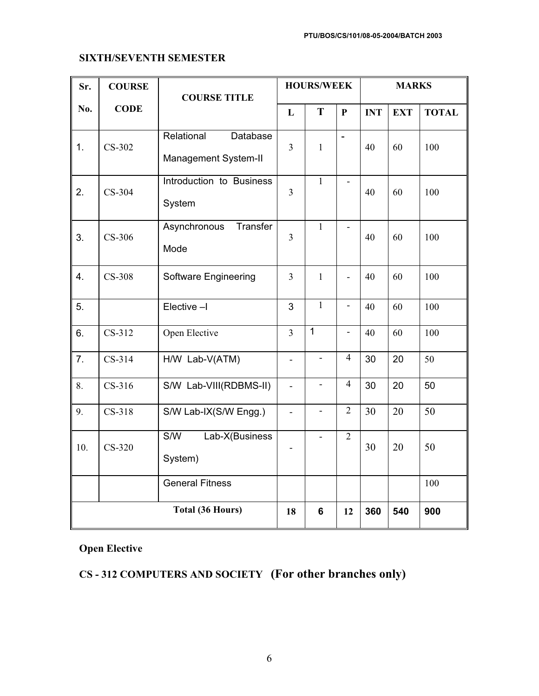| Sr. | <b>COURSE</b> | <b>COURSE TITLE</b>                            |                              | <b>HOURS/WEEK</b> |                | <b>MARKS</b> |            |              |  |
|-----|---------------|------------------------------------------------|------------------------------|-------------------|----------------|--------------|------------|--------------|--|
| No. | <b>CODE</b>   |                                                | L                            | T                 | ${\bf P}$      | <b>INT</b>   | <b>EXT</b> | <b>TOTAL</b> |  |
| 1.  | CS-302        | Relational<br>Database<br>Management System-II | $\overline{3}$               | $\mathbf{1}$      |                | 40           | 60         | 100          |  |
| 2.  | CS-304        | Introduction to Business<br>System             | $\overline{3}$               | $\mathbf{1}$      | ÷,             | 40           | 60         | 100          |  |
| 3.  | CS-306        | Asynchronous<br>Transfer<br>Mode               | $\overline{3}$               | $\mathbf{1}$      | $\overline{a}$ | 40           | 60         | 100          |  |
| 4.  | <b>CS-308</b> | <b>Software Engineering</b>                    | $\overline{3}$               | $\mathbf{1}$      | ÷,             | 40           | 60         | 100          |  |
| 5.  |               | Elective-I                                     | 3                            | $\mathbf{1}$      |                | 40           | 60         | 100          |  |
| 6.  | $CS-312$      | Open Elective                                  | $\overline{3}$               | $\overline{1}$    | ÷,             | 40           | 60         | 100          |  |
| 7.  | $CS-314$      | H/W Lab-V(ATM)                                 | $\overline{a}$               | $\overline{a}$    | $\overline{4}$ | 30           | 20         | 50           |  |
| 8.  | $CS-316$      | S/W Lab-VIII(RDBMS-II)                         | $\overline{a}$               |                   | $\overline{4}$ | 30           | 20         | 50           |  |
| 9.  | $CS-318$      | S/W Lab-IX(S/W Engg.)                          | $\qquad \qquad \blacksquare$ | ÷,                | $\overline{2}$ | 30           | 20         | 50           |  |
| 10. | CS-320        | S/W<br>Lab-X(Business<br>System)               | ٠                            | $\overline{2}$    |                | 30           | 20         | 50           |  |
|     |               | <b>General Fitness</b>                         |                              |                   |                |              |            | 100          |  |
|     |               | 18                                             | $\bf 6$                      | 12                | 360            | 540          | 900        |              |  |

# **SIXTH/SEVENTH SEMESTER**

# **Open Elective**

# **CS - 312 COMPUTERS AND SOCIETY (For other branches only)**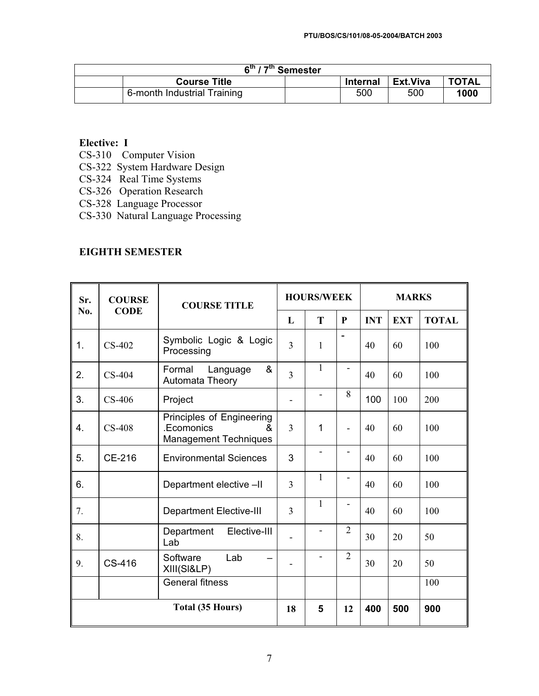| $6^{th}$ / $7^{th}$ Semester |                             |  |                 |                 |              |  |  |  |
|------------------------------|-----------------------------|--|-----------------|-----------------|--------------|--|--|--|
|                              | <b>Course Title</b>         |  | <b>Internal</b> | <b>Ext.Viva</b> | <b>TOTAL</b> |  |  |  |
|                              | 6-month Industrial Training |  | 500             | 500             | 1000         |  |  |  |

# **Elective: I**

- CS-310 Computer Vision
- CS-322 System Hardware Design
- CS-324 Real Time Systems
- CS-326 Operation Research
- CS-328 Language Processor
- CS-330 Natural Language Processing

# **EIGHTH SEMESTER**

| Sr.              | <b>COURSE</b> | <b>COURSE TITLE</b>                                                          | <b>HOURS/WEEK</b> |                          | <b>MARKS</b>             |            |            |              |
|------------------|---------------|------------------------------------------------------------------------------|-------------------|--------------------------|--------------------------|------------|------------|--------------|
| No.              | <b>CODE</b>   |                                                                              | L                 | T                        | P                        | <b>INT</b> | <b>EXT</b> | <b>TOTAL</b> |
| 1.               | $CS-402$      | Symbolic Logic & Logic<br>Processing                                         | $\overline{3}$    | $\mathbf{1}$             |                          | 40         | 60         | 100          |
| 2.               | $CS-404$      | &<br>Formal<br>Language<br>Automata Theory                                   | $\overline{3}$    | $\mathbf{1}$             | -                        | 40         | 60         | 100          |
| 3.               | $CS-406$      | Project                                                                      | L,                | $\overline{\phantom{m}}$ | 8                        | 100        | 100        | 200          |
| 4.               | <b>CS-408</b> | Principles of Engineering<br>.Ecomonics<br>&<br><b>Management Techniques</b> | $\overline{3}$    | 1                        | $\overline{\phantom{0}}$ | 40         | 60         | 100          |
| 5.               | CE-216        | <b>Environmental Sciences</b>                                                | 3                 | ÷                        | ۳                        | 40         | 60         | 100          |
| 6.               |               | Department elective -II                                                      | $\overline{3}$    | 1                        | -                        | 40         | 60         | 100          |
| 7.               |               | <b>Department Elective-III</b>                                               | 3                 | $\mathbf{1}$             |                          | 40         | 60         | 100          |
| 8.               |               | Elective-III<br>Department<br>Lab                                            | ۰                 | ÷,                       | $\overline{2}$           | 30         | 20         | 50           |
| 9.               | CS-416        | Lab<br>Software<br>XIII(SI&LP)                                               | ۰                 |                          | $\overline{2}$           | 30         | 20         | 50           |
|                  |               | <b>General fitness</b>                                                       |                   |                          |                          |            |            | 100          |
| Total (35 Hours) |               |                                                                              |                   | 5                        | 12                       | 400        | 500        | 900          |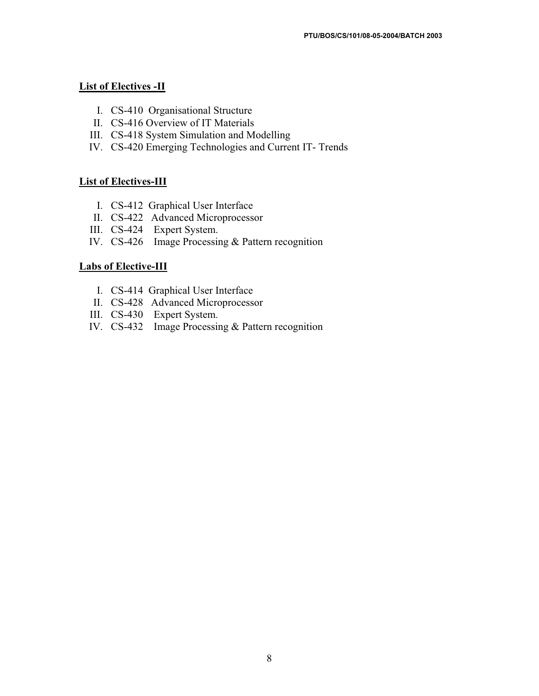# **List of Electives -II**

- I. CS-410 Organisational Structure
- II. CS-416 Overview of IT Materials
- III. CS-418 System Simulation and Modelling
- IV. CS-420 Emerging Technologies and Current IT- Trends

# **List of Electives-III**

- I. CS-412 Graphical User Interface
- II. CS-422 Advanced Microprocessor
- III. CS-424 Expert System.
- IV. CS-426 Image Processing & Pattern recognition

# **Labs of Elective-III**

- I. CS-414 Graphical User Interface
- II. CS-428 Advanced Microprocessor
- III. CS-430 Expert System.
- IV. CS-432 Image Processing & Pattern recognition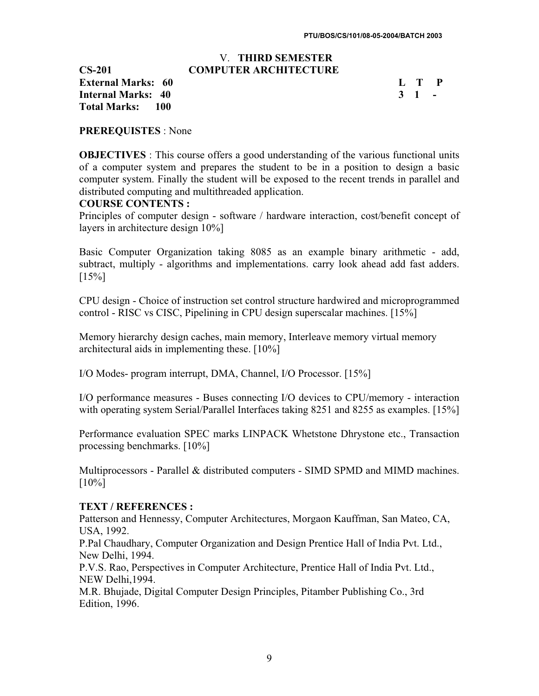#### V. **THIRD SEMESTER CS-201 COMPUTER ARCHITECTURE**

**External Marks:** 60 **L** T P **Internal Marks: 40 3 1 -**  $\overline{3}$  **1 -Total Marks: 100** 

**PREREQUISTES** : None

**OBJECTIVES** : This course offers a good understanding of the various functional units of a computer system and prepares the student to be in a position to design a basic computer system. Finally the student will be exposed to the recent trends in parallel and distributed computing and multithreaded application.

# **COURSE CONTENTS :**

Principles of computer design - software / hardware interaction, cost/benefit concept of layers in architecture design 10%]

Basic Computer Organization taking 8085 as an example binary arithmetic - add, subtract, multiply - algorithms and implementations. carry look ahead add fast adders.  $[15%]$ 

CPU design - Choice of instruction set control structure hardwired and microprogrammed control - RISC vs CISC, Pipelining in CPU design superscalar machines. [15%]

Memory hierarchy design caches, main memory, Interleave memory virtual memory architectural aids in implementing these. [10%]

I/O Modes- program interrupt, DMA, Channel, I/O Processor. [15%]

I/O performance measures - Buses connecting I/O devices to CPU/memory - interaction with operating system Serial/Parallel Interfaces taking 8251 and 8255 as examples. [15%]

Performance evaluation SPEC marks LINPACK Whetstone Dhrystone etc., Transaction processing benchmarks. [10%]

Multiprocessors - Parallel & distributed computers - SIMD SPMD and MIMD machines.  $[10\%]$ 

# **TEXT / REFERENCES :**

Patterson and Hennessy, Computer Architectures, Morgaon Kauffman, San Mateo, CA, USA, 1992.

P.Pal Chaudhary, Computer Organization and Design Prentice Hall of India Pvt. Ltd., New Delhi, 1994.

P.V.S. Rao, Perspectives in Computer Architecture, Prentice Hall of India Pvt. Ltd., NEW Delhi,1994.

M.R. Bhujade, Digital Computer Design Principles, Pitamber Publishing Co., 3rd Edition, 1996.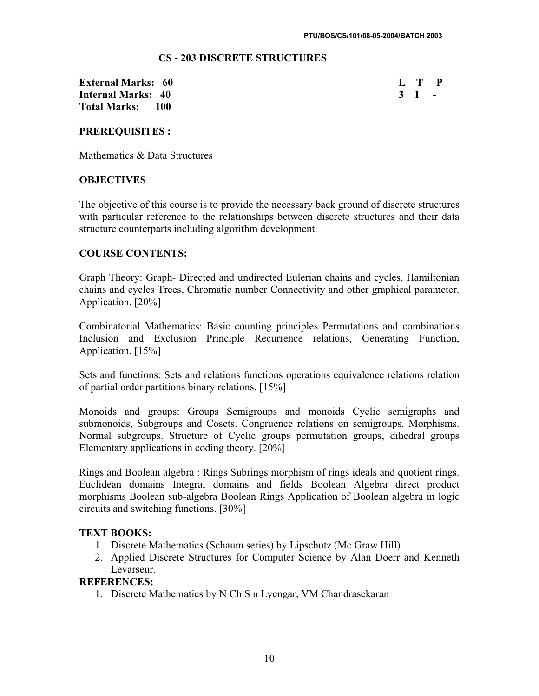## **CS - 203 DISCRETE STRUCTURES**

**External Marks:** 60 **L** T P **Internal Marks: 40 3 1 -**  $\overline{3}$  **1 -Total Marks: 100** 

#### **PREREQUISITES :**

Mathematics & Data Structures

#### **OBJECTIVES**

The objective of this course is to provide the necessary back ground of discrete structures with particular reference to the relationships between discrete structures and their data structure counterparts including algorithm development.

#### **COURSE CONTENTS:**

Graph Theory: Graph- Directed and undirected Eulerian chains and cycles, Hamiltonian chains and cycles Trees, Chromatic number Connectivity and other graphical parameter. Application. [20%]

Combinatorial Mathematics: Basic counting principles Permutations and combinations Inclusion and Exclusion Principle Recurrence relations, Generating Function, Application. [15%]

Sets and functions: Sets and relations functions operations equivalence relations relation of partial order partitions binary relations. [15%]

Monoids and groups: Groups Semigroups and monoids Cyclic semigraphs and submonoids, Subgroups and Cosets. Congruence relations on semigroups. Morphisms. Normal subgroups. Structure of Cyclic groups permutation groups, dihedral groups Elementary applications in coding theory. [20%]

Rings and Boolean algebra : Rings Subrings morphism of rings ideals and quotient rings. Euclidean domains Integral domains and fields Boolean Algebra direct product morphisms Boolean sub-algebra Boolean Rings Application of Boolean algebra in logic circuits and switching functions. [30%]

# **TEXT BOOKS:**

- 1. Discrete Mathematics (Schaum series) by Lipschutz (Mc Graw Hill)
- 2. Applied Discrete Structures for Computer Science by Alan Doerr and Kenneth Levarseur.

#### **REFERENCES:**

1. Discrete Mathematics by N Ch S n Lyengar, VM Chandrasekaran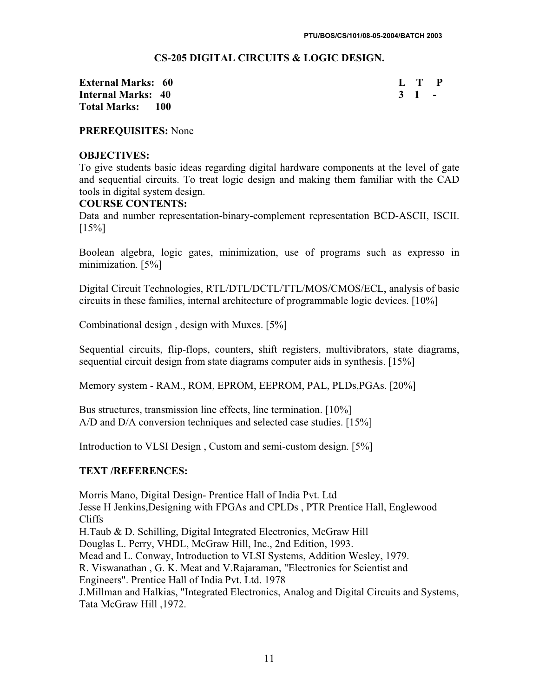# **CS-205 DIGITAL CIRCUITS & LOGIC DESIGN.**

| <b>External Marks: 60</b> |  |  | L T P     |
|---------------------------|--|--|-----------|
| <b>Internal Marks: 40</b> |  |  | $3 \t1$ - |
| Total Marks: 100          |  |  |           |

**PREREQUISITES:** None

#### **OBJECTIVES:**

To give students basic ideas regarding digital hardware components at the level of gate and sequential circuits. To treat logic design and making them familiar with the CAD tools in digital system design.

#### **COURSE CONTENTS:**

Data and number representation-binary-complement representation BCD-ASCII, ISCII.  $[15%]$ 

Boolean algebra, logic gates, minimization, use of programs such as expresso in minimization. [5%]

Digital Circuit Technologies, RTL/DTL/DCTL/TTL/MOS/CMOS/ECL, analysis of basic circuits in these families, internal architecture of programmable logic devices. [10%]

Combinational design , design with Muxes. [5%]

Sequential circuits, flip-flops, counters, shift registers, multivibrators, state diagrams, sequential circuit design from state diagrams computer aids in synthesis. [15%]

Memory system - RAM., ROM, EPROM, EEPROM, PAL, PLDs,PGAs. [20%]

Bus structures, transmission line effects, line termination. [10%] A/D and D/A conversion techniques and selected case studies. [15%]

Introduction to VLSI Design , Custom and semi-custom design. [5%]

# **TEXT /REFERENCES:**

Morris Mano, Digital Design- Prentice Hall of India Pvt. Ltd Jesse H Jenkins,Designing with FPGAs and CPLDs , PTR Prentice Hall, Englewood Cliffs H.Taub & D. Schilling, Digital Integrated Electronics, McGraw Hill Douglas L. Perry, VHDL, McGraw Hill, Inc., 2nd Edition, 1993. Mead and L. Conway, Introduction to VLSI Systems, Addition Wesley, 1979. R. Viswanathan , G. K. Meat and V.Rajaraman, "Electronics for Scientist and Engineers". Prentice Hall of India Pvt. Ltd. 1978 J.Millman and Halkias, "Integrated Electronics, Analog and Digital Circuits and Systems, Tata McGraw Hill ,1972.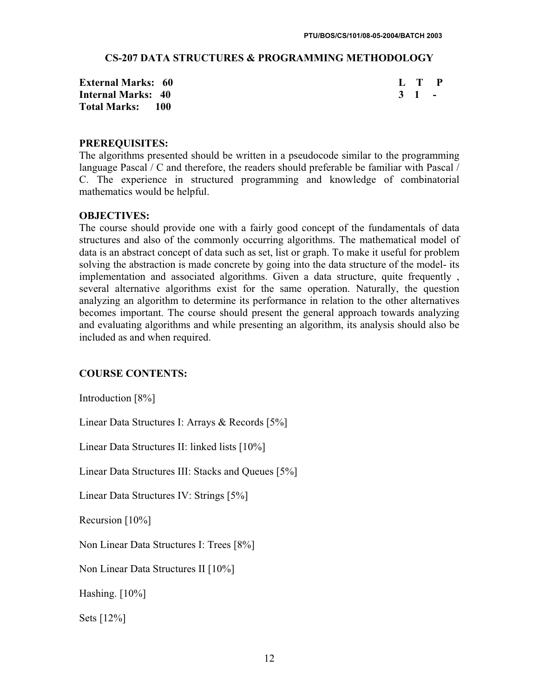# **CS-207 DATA STRUCTURES & PROGRAMMING METHODOLOGY**

| <b>External Marks: 60</b> | L T P               |  |
|---------------------------|---------------------|--|
| Internal Marks: 40        | $3 \quad 1 \quad -$ |  |
| Total Marks: 100          |                     |  |

#### **PREREQUISITES:**

The algorithms presented should be written in a pseudocode similar to the programming language Pascal / C and therefore, the readers should preferable be familiar with Pascal / C. The experience in structured programming and knowledge of combinatorial mathematics would be helpful.

#### **OBJECTIVES:**

The course should provide one with a fairly good concept of the fundamentals of data structures and also of the commonly occurring algorithms. The mathematical model of data is an abstract concept of data such as set, list or graph. To make it useful for problem solving the abstraction is made concrete by going into the data structure of the model- its implementation and associated algorithms. Given a data structure, quite frequently , several alternative algorithms exist for the same operation. Naturally, the question analyzing an algorithm to determine its performance in relation to the other alternatives becomes important. The course should present the general approach towards analyzing and evaluating algorithms and while presenting an algorithm, its analysis should also be included as and when required.

# **COURSE CONTENTS:**

Introduction [8%]

Linear Data Structures I: Arrays & Records [5%]

Linear Data Structures II: linked lists [10%]

Linear Data Structures III: Stacks and Queues [5%]

Linear Data Structures IV: Strings [5%]

Recursion [10%]

Non Linear Data Structures I: Trees [8%]

Non Linear Data Structures II [10%]

Hashing. [10%]

Sets [12%]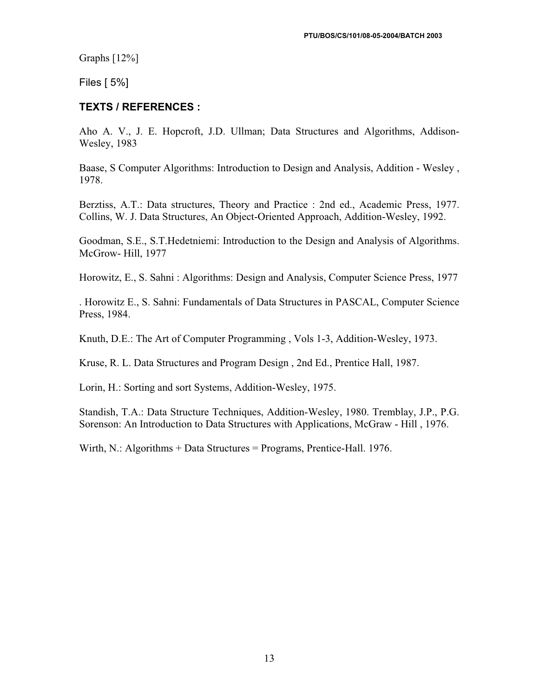Graphs [12%]

Files [ 5%]

# **TEXTS / REFERENCES :**

Aho A. V., J. E. Hopcroft, J.D. Ullman; Data Structures and Algorithms, Addison-Wesley, 1983

Baase, S Computer Algorithms: Introduction to Design and Analysis, Addition - Wesley , 1978.

Berztiss, A.T.: Data structures, Theory and Practice : 2nd ed., Academic Press, 1977. Collins, W. J. Data Structures, An Object-Oriented Approach, Addition-Wesley, 1992.

Goodman, S.E., S.T.Hedetniemi: Introduction to the Design and Analysis of Algorithms. McGrow- Hill, 1977

Horowitz, E., S. Sahni : Algorithms: Design and Analysis, Computer Science Press, 1977

. Horowitz E., S. Sahni: Fundamentals of Data Structures in PASCAL, Computer Science Press, 1984.

Knuth, D.E.: The Art of Computer Programming , Vols 1-3, Addition-Wesley, 1973.

Kruse, R. L. Data Structures and Program Design , 2nd Ed., Prentice Hall, 1987.

Lorin, H.: Sorting and sort Systems, Addition-Wesley, 1975.

Standish, T.A.: Data Structure Techniques, Addition-Wesley, 1980. Tremblay, J.P., P.G. Sorenson: An Introduction to Data Structures with Applications, McGraw - Hill , 1976.

Wirth, N.: Algorithms + Data Structures = Programs, Prentice-Hall. 1976.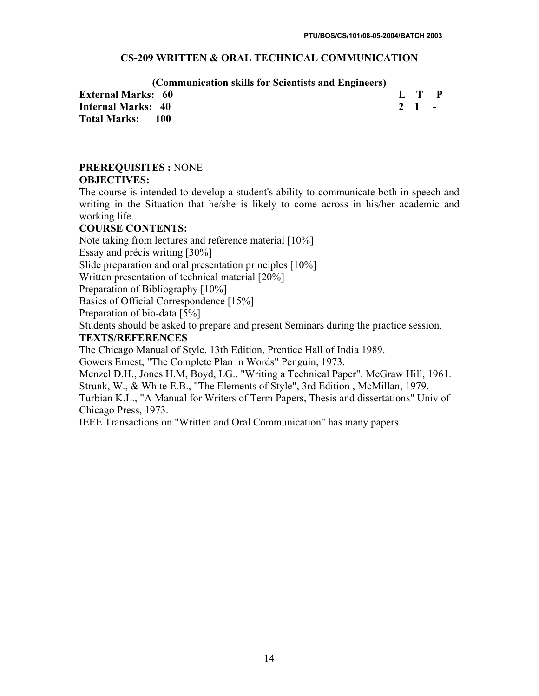# **CS-209 WRITTEN & ORAL TECHNICAL COMMUNICATION**

**(Communication skills for Scientists and Engineers)** 

| <b>External Marks: 60</b> |       |  | L T P |
|---------------------------|-------|--|-------|
| <b>Internal Marks: 40</b> | 2 1 - |  |       |
| Total Marks: 100          |       |  |       |

# **PREREQUISITES :** NONE

# **OBJECTIVES:**

The course is intended to develop a student's ability to communicate both in speech and writing in the Situation that he/she is likely to come across in his/her academic and working life.

#### **COURSE CONTENTS:**

Note taking from lectures and reference material [10%]

Essay and précis writing [30%]

Slide preparation and oral presentation principles [10%]

Written presentation of technical material [20%]

Preparation of Bibliography [10%]

Basics of Official Correspondence [15%]

Preparation of bio-data [5%]

Students should be asked to prepare and present Seminars during the practice session.

#### **TEXTS/REFERENCES**

The Chicago Manual of Style, 13th Edition, Prentice Hall of India 1989.

Gowers Ernest, "The Complete Plan in Words" Penguin, 1973.

Menzel D.H., Jones H.M, Boyd, LG., "Writing a Technical Paper". McGraw Hill, 1961. Strunk, W., & White E.B., "The Elements of Style", 3rd Edition , McMillan, 1979.

Turbian K.L., "A Manual for Writers of Term Papers, Thesis and dissertations" Univ of Chicago Press, 1973.

IEEE Transactions on "Written and Oral Communication" has many papers.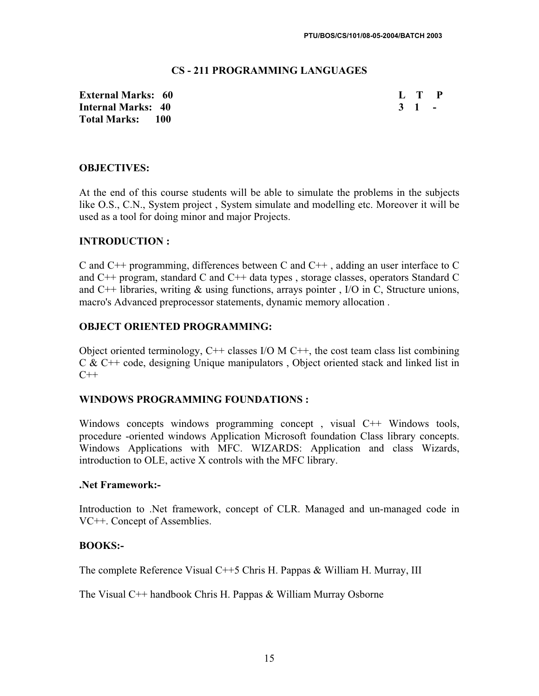# **CS - 211 PROGRAMMING LANGUAGES**

External Marks: 60 **L** T P<br>
Internal Marks: 40 3 1 -**Internal Marks: 40 Total Marks: 100** 

#### **OBJECTIVES:**

At the end of this course students will be able to simulate the problems in the subjects like O.S., C.N., System project , System simulate and modelling etc. Moreover it will be used as a tool for doing minor and major Projects.

#### **INTRODUCTION :**

C and  $C_{++}$  programming, differences between C and  $C_{++}$ , adding an user interface to C and C++ program, standard C and C++ data types , storage classes, operators Standard C and C++ libraries, writing & using functions, arrays pointer , I/O in C, Structure unions, macro's Advanced preprocessor statements, dynamic memory allocation .

## **OBJECT ORIENTED PROGRAMMING:**

Object oriented terminology,  $C++$  classes I/O M  $C++$ , the cost team class list combining C & C++ code, designing Unique manipulators , Object oriented stack and linked list in  $C++$ 

#### **WINDOWS PROGRAMMING FOUNDATIONS :**

Windows concepts windows programming concept, visual C<sup>++</sup> Windows tools, procedure -oriented windows Application Microsoft foundation Class library concepts. Windows Applications with MFC. WIZARDS: Application and class Wizards, introduction to OLE, active X controls with the MFC library.

#### **.Net Framework:-**

Introduction to .Net framework, concept of CLR. Managed and un-managed code in VC++. Concept of Assemblies.

#### **BOOKS:-**

The complete Reference Visual C++5 Chris H. Pappas & William H. Murray, III

The Visual C++ handbook Chris H. Pappas & William Murray Osborne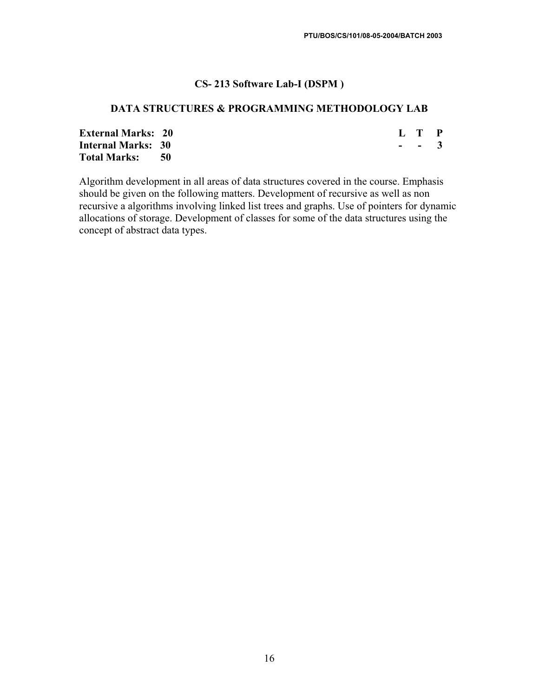# **CS- 213 Software Lab-I (DSPM )**

# **DATA STRUCTURES & PROGRAMMING METHODOLOGY LAB**

| <b>External Marks: 20</b> |  | L T P   |  |
|---------------------------|--|---------|--|
| <b>Internal Marks: 30</b> |  | $- - 3$ |  |
| Total Marks: 50           |  |         |  |

Algorithm development in all areas of data structures covered in the course. Emphasis should be given on the following matters. Development of recursive as well as non recursive a algorithms involving linked list trees and graphs. Use of pointers for dynamic allocations of storage. Development of classes for some of the data structures using the concept of abstract data types.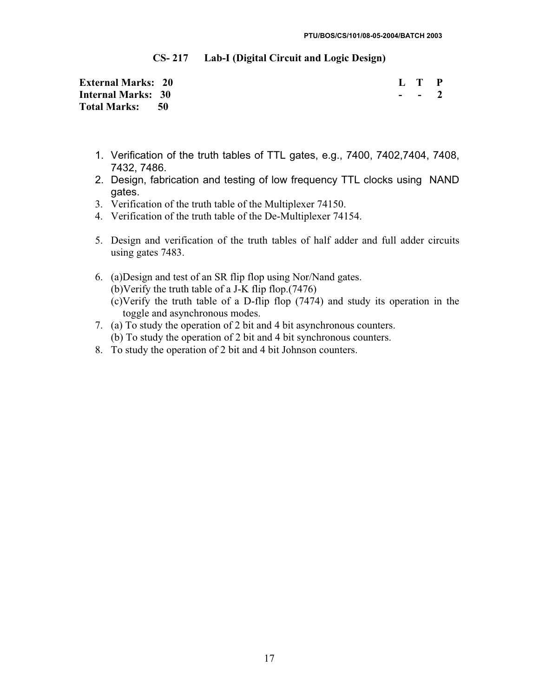# **CS- 217 Lab-I (Digital Circuit and Logic Design)**

| <b>External Marks: 20</b> |  | L T P   |  |
|---------------------------|--|---------|--|
| <b>Internal Marks: 30</b> |  | $- - 2$ |  |
| Total Marks: 50           |  |         |  |

- 1. Verification of the truth tables of TTL gates, e.g., 7400, 7402,7404, 7408, 7432, 7486.
- 2. Design, fabrication and testing of low frequency TTL clocks using NAND gates.
- 3. Verification of the truth table of the Multiplexer 74150.
- 4. Verification of the truth table of the De-Multiplexer 74154.
- 5. Design and verification of the truth tables of half adder and full adder circuits using gates 7483.
- 6. (a)Design and test of an SR flip flop using Nor/Nand gates.
	- (b)Verify the truth table of a J-K flip flop.(7476)
	- (c)Verify the truth table of a D-flip flop (7474) and study its operation in the toggle and asynchronous modes.
- 7. (a) To study the operation of 2 bit and 4 bit asynchronous counters. (b) To study the operation of 2 bit and 4 bit synchronous counters.
- 8. To study the operation of 2 bit and 4 bit Johnson counters.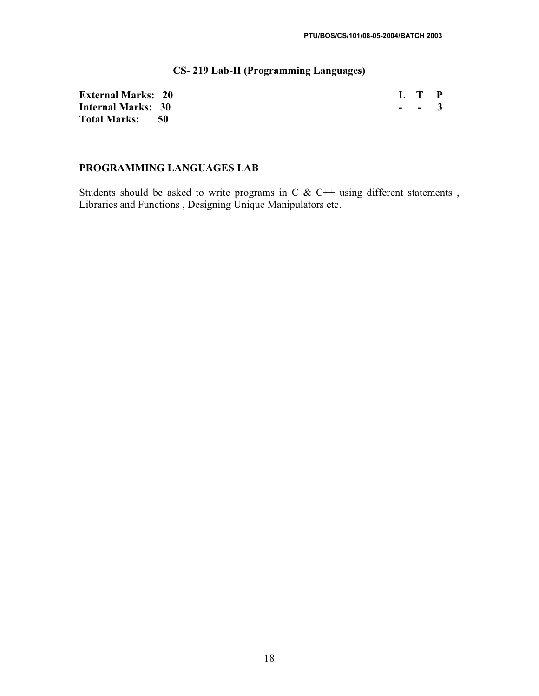# **CS- 219 Lab-II (Programming Languages)**

**External Marks: 20 L T P Internal Marks: 30 - - 3 Total Marks: 50** 

# **PROGRAMMING LANGUAGES LAB**

Students should be asked to write programs in C  $&$  C++ using different statements, Libraries and Functions , Designing Unique Manipulators etc.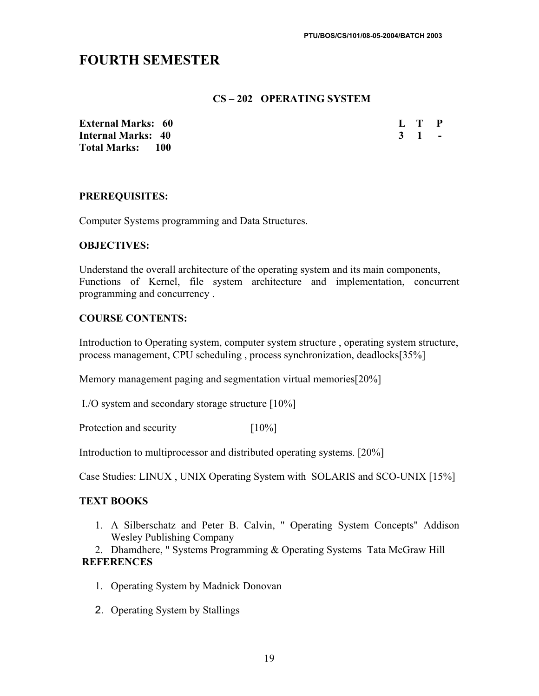# **FOURTH SEMESTER**

#### **CS – 202 OPERATING SYSTEM**

**External Marks:** 60 **L T** P **Internal Marks: 40 3 1 - Total Marks: 100** 

#### **PREREQUISITES:**

Computer Systems programming and Data Structures.

#### **OBJECTIVES:**

Understand the overall architecture of the operating system and its main components, Functions of Kernel, file system architecture and implementation, concurrent programming and concurrency .

#### **COURSE CONTENTS:**

Introduction to Operating system, computer system structure , operating system structure, process management, CPU scheduling , process synchronization, deadlocks[35%]

Memory management paging and segmentation virtual memories[20%]

I./O system and secondary storage structure [10%]

Protection and security [10%]

Introduction to multiprocessor and distributed operating systems. [20%]

Case Studies: LINUX , UNIX Operating System with SOLARIS and SCO-UNIX [15%]

#### **TEXT BOOKS**

1. A Silberschatz and Peter B. Calvin, " Operating System Concepts" Addison Wesley Publishing Company

2. Dhamdhere, " Systems Programming & Operating Systems Tata McGraw Hill  **REFERENCES**

- 1. Operating System by Madnick Donovan
- 2. Operating System by Stallings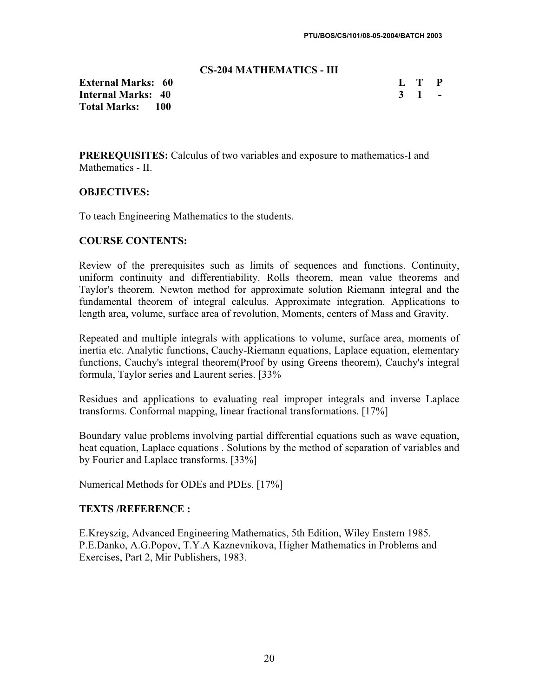#### **CS-204 MATHEMATICS - III**

External Marks: 60 **L** T P<br>
Internal Marks: 40 3 1 -**Internal Marks: 40 3 1 - Total Marks: 100** 

**PREREQUISITES:** Calculus of two variables and exposure to mathematics-I and Mathematics - II.

#### **OBJECTIVES:**

To teach Engineering Mathematics to the students.

#### **COURSE CONTENTS:**

Review of the prerequisites such as limits of sequences and functions. Continuity, uniform continuity and differentiability. Rolls theorem, mean value theorems and Taylor's theorem. Newton method for approximate solution Riemann integral and the fundamental theorem of integral calculus. Approximate integration. Applications to length area, volume, surface area of revolution, Moments, centers of Mass and Gravity.

Repeated and multiple integrals with applications to volume, surface area, moments of inertia etc. Analytic functions, Cauchy-Riemann equations, Laplace equation, elementary functions, Cauchy's integral theorem(Proof by using Greens theorem), Cauchy's integral formula, Taylor series and Laurent series. [33%

Residues and applications to evaluating real improper integrals and inverse Laplace transforms. Conformal mapping, linear fractional transformations. [17%]

Boundary value problems involving partial differential equations such as wave equation, heat equation, Laplace equations . Solutions by the method of separation of variables and by Fourier and Laplace transforms. [33%]

Numerical Methods for ODEs and PDEs. [17%]

#### **TEXTS /REFERENCE :**

E.Kreyszig, Advanced Engineering Mathematics, 5th Edition, Wiley Enstern 1985. P.E.Danko, A.G.Popov, T.Y.A Kaznevnikova, Higher Mathematics in Problems and Exercises, Part 2, Mir Publishers, 1983.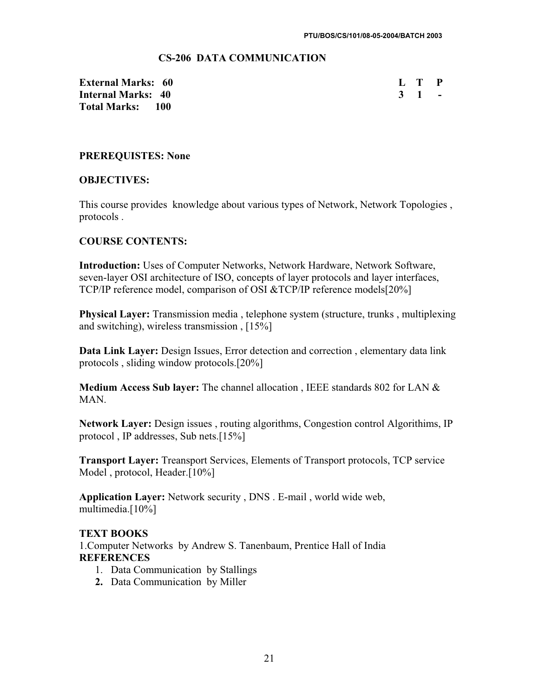## **CS-206 DATA COMMUNICATION**

**External Marks: 60 Internal Marks: 40 Total Marks: 100** 

| L | Ŧ | P |
|---|---|---|
| 3 | 1 |   |

#### **PREREQUISTES: None**

## **OBJECTIVES:**

This course provides knowledge about various types of Network, Network Topologies , protocols .

#### **COURSE CONTENTS:**

**Introduction:** Uses of Computer Networks, Network Hardware, Network Software, seven-layer OSI architecture of ISO, concepts of layer protocols and layer interfaces, TCP/IP reference model, comparison of OSI &TCP/IP reference models[20%]

**Physical Layer:** Transmission media , telephone system (structure, trunks , multiplexing and switching), wireless transmission , [15%]

Data Link Layer: Design Issues, Error detection and correction, elementary data link protocols , sliding window protocols.[20%]

**Medium Access Sub layer:** The channel allocation , IEEE standards 802 for LAN & **MAN** 

**Network Layer:** Design issues , routing algorithms, Congestion control Algorithims, IP protocol , IP addresses, Sub nets.[15%]

**Transport Layer:** Treansport Services, Elements of Transport protocols, TCP service Model, protocol, Header.[10%]

**Application Layer:** Network security , DNS . E-mail , world wide web, multimedia.[10%]

#### **TEXT BOOKS**

1.Computer Networks by Andrew S. Tanenbaum, Prentice Hall of India **REFERENCES**

- 1. Data Communication by Stallings
- **2.** Data Communication by Miller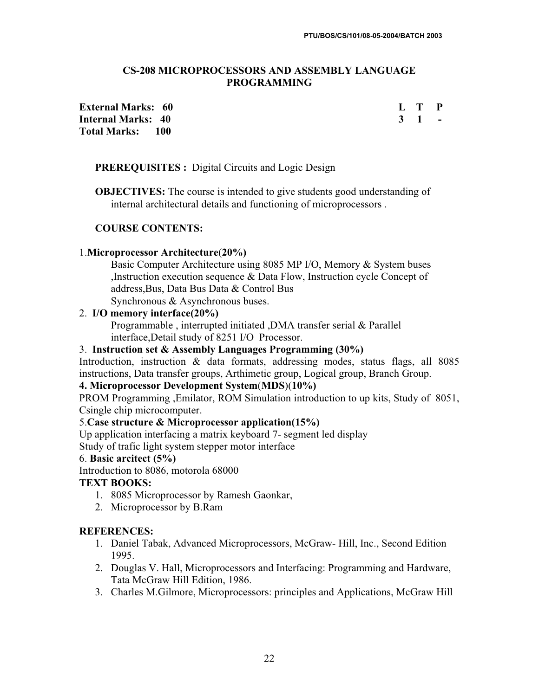# **CS-208 MICROPROCESSORS AND ASSEMBLY LANGUAGE PROGRAMMING**

**External Marks:** 60 **L** T P **Internal Marks: 40 3 1 - Total Marks: 100** 

# **PREREQUISITES :** Digital Circuits and Logic Design

**OBJECTIVES:** The course is intended to give students good understanding of internal architectural details and functioning of microprocessors .

## **COURSE CONTENTS:**

#### 1.**Microprocessor Architecture**(**20%)**

Basic Computer Architecture using 8085 MP I/O, Memory & System buses ,Instruction execution sequence & Data Flow, Instruction cycle Concept of address,Bus, Data Bus Data & Control Bus Synchronous & Asynchronous buses.

#### 2. **I/O memory interface(20%)**

Programmable , interrupted initiated ,DMA transfer serial & Parallel interface,Detail study of 8251 I/O Processor.

# 3. **Instruction set & Assembly Languages Programming (30%)**

Introduction, instruction & data formats, addressing modes, status flags, all 8085 instructions, Data transfer groups, Arthimetic group, Logical group, Branch Group.

#### **4. Microprocessor Development System**(**MDS**)(**10%)**

PROM Programming ,Emilator, ROM Simulation introduction to up kits, Study of 8051, Csingle chip microcomputer.

### 5.**Case structure & Microprocessor application(15%)**

Up application interfacing a matrix keyboard 7- segment led display

Study of trafic light system stepper motor interface

#### 6. **Basic arcitect (5%)**

Introduction to 8086, motorola 68000

# **TEXT BOOKS:**

- 1. 8085 Microprocessor by Ramesh Gaonkar,
- 2. Microprocessor by B.Ram

#### **REFERENCES:**

- 1. Daniel Tabak, Advanced Microprocessors, McGraw- Hill, Inc., Second Edition 1995.
- 2. Douglas V. Hall, Microprocessors and Interfacing: Programming and Hardware, Tata McGraw Hill Edition, 1986.
- 3. Charles M.Gilmore, Microprocessors: principles and Applications, McGraw Hill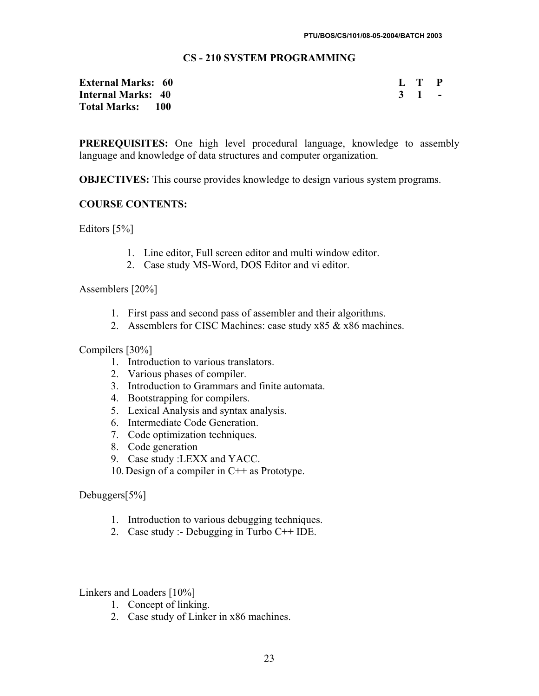# **CS - 210 SYSTEM PROGRAMMING**

# **External Marks: 60 L T P Internal Marks: 40 3 1 - 20 3 2 3 4 - 20 3 2 4 - 20 3 4 - 20 3 4 - 20 3 4 - 20 3 4 - 20 3 4 - 20 3 4 - 20 3 4 - 20 3 4 - 20 3 4 - 20 3 4 - 20 3 4 - 20 3 4 - 20 3 4 - 20 3 4 - 20 3 4 - 20 3 4 - 20 3 4 - 20 3 4 - 20 3 4 - 2 Total Marks: 100**

**PREREQUISITES:** One high level procedural language, knowledge to assembly language and knowledge of data structures and computer organization.

**OBJECTIVES:** This course provides knowledge to design various system programs.

#### **COURSE CONTENTS:**

Editors [5%]

- 1. Line editor, Full screen editor and multi window editor.
- 2. Case study MS-Word, DOS Editor and vi editor.

Assemblers [20%]

- 1. First pass and second pass of assembler and their algorithms.
- 2. Assemblers for CISC Machines: case study x85 & x86 machines.

#### Compilers [30%]

- 1. Introduction to various translators.
- 2. Various phases of compiler.
- 3. Introduction to Grammars and finite automata.
- 4. Bootstrapping for compilers.
- 5. Lexical Analysis and syntax analysis.
- 6. Intermediate Code Generation.
- 7. Code optimization techniques.
- 8. Code generation
- 9. Case study :LEXX and YACC.

10. Design of a compiler in C++ as Prototype.

Debuggers[5%]

- 1. Introduction to various debugging techniques.
- 2. Case study :- Debugging in Turbo C++ IDE.

Linkers and Loaders [10%]

- 1. Concept of linking.
- 2. Case study of Linker in x86 machines.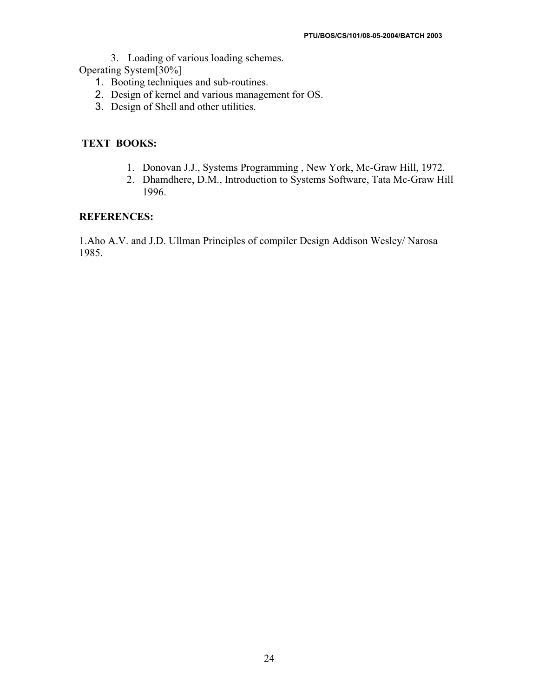3. Loading of various loading schemes.

Operating System[30%]

- 1. Booting techniques and sub-routines.
- 2. Design of kernel and various management for OS.
- 3. Design of Shell and other utilities.

# **TEXT BOOKS:**

- 1. Donovan J.J., Systems Programming , New York, Mc-Graw Hill, 1972.
- 2. Dhamdhere, D.M., Introduction to Systems Software, Tata Mc-Graw Hill 1996.

#### **REFERENCES:**

1.Aho A.V. and J.D. Ullman Principles of compiler Design Addison Wesley/ Narosa 1985.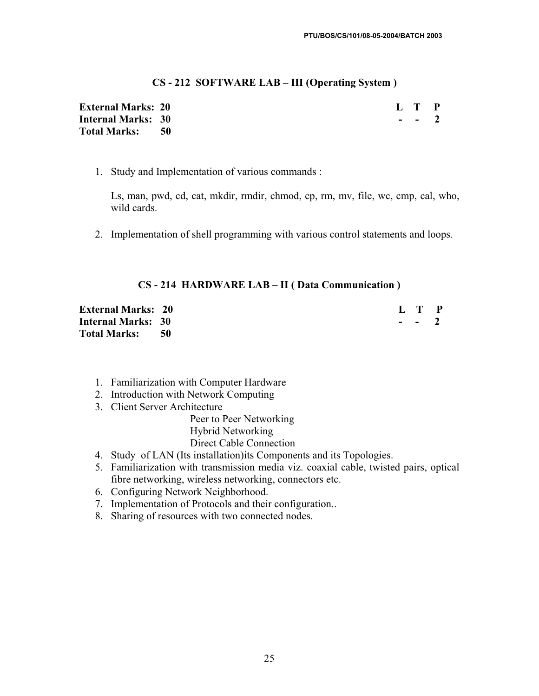# **CS - 212 SOFTWARE LAB – III (Operating System )**

**External Marks: 20 L T P L T P Internal Marks: 30 - - 2 Total Marks:** 

1. Study and Implementation of various commands :

Ls, man, pwd, cd, cat, mkdir, rmdir, chmod, cp, rm, mv, file, wc, cmp, cal, who, wild cards.

2. Implementation of shell programming with various control statements and loops.

#### **CS - 214 HARDWARE LAB – II ( Data Communication )**

| <b>External Marks: 20</b> |  | L T P   |  |
|---------------------------|--|---------|--|
| <b>Internal Marks: 30</b> |  | $- - 2$ |  |
| Total Marks: 50           |  |         |  |

- 1. Familiarization with Computer Hardware
- 2. Introduction with Network Computing
- 3. Client Server Architecture

Peer to Peer Networking Hybrid Networking Direct Cable Connection

- 4. Study of LAN (Its installation)its Components and its Topologies.
- 5. Familiarization with transmission media viz. coaxial cable, twisted pairs, optical fibre networking, wireless networking, connectors etc.
- 6. Configuring Network Neighborhood.
- 7. Implementation of Protocols and their configuration..
- 8. Sharing of resources with two connected nodes.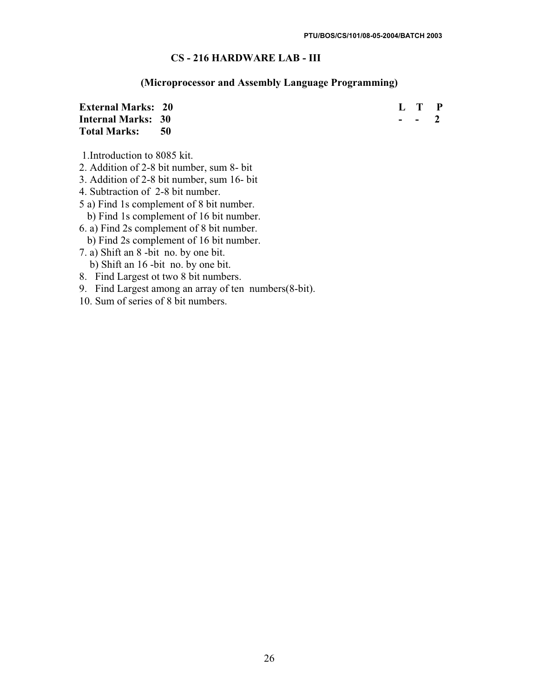# **CS - 216 HARDWARE LAB - III**

#### **(Microprocessor and Assembly Language Programming)**

| <b>External Marks: 20</b> |  | L T P   |  |
|---------------------------|--|---------|--|
| <b>Internal Marks: 30</b> |  | $- - 2$ |  |
| Total Marks: 50           |  |         |  |

- 1.Introduction to 8085 kit.
- 2. Addition of 2-8 bit number, sum 8- bit
- 3. Addition of 2-8 bit number, sum 16- bit
- 4. Subtraction of 2-8 bit number.
- 5 a) Find 1s complement of 8 bit number. b) Find 1s complement of 16 bit number.
- 6. a) Find 2s complement of 8 bit number.
- b) Find 2s complement of 16 bit number.
- 7. a) Shift an 8 -bit no. by one bit. b) Shift an 16 -bit no. by one bit.
- 8. Find Largest ot two 8 bit numbers.
- 9. Find Largest among an array of ten numbers(8-bit).
- 10. Sum of series of 8 bit numbers.

**E** T P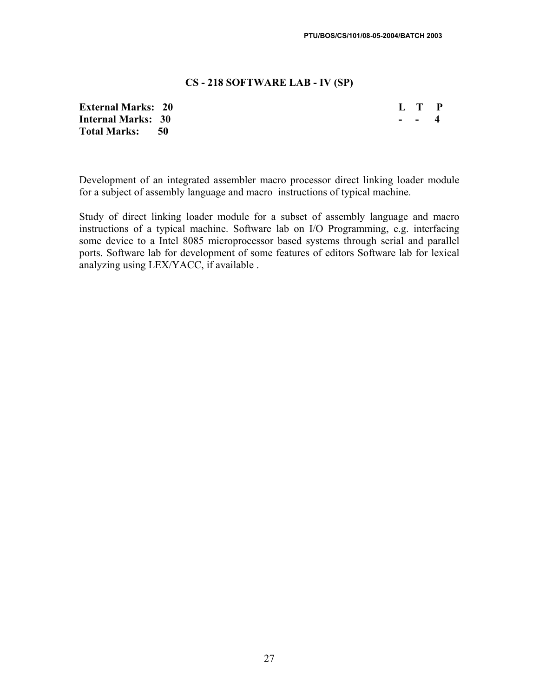#### **CS - 218 SOFTWARE LAB - IV (SP)**

**External Marks: 20 L T P Internal Marks: 30 - - 4** <br> **Total Marks: 50 - - 4 Total Marks:** 

Development of an integrated assembler macro processor direct linking loader module for a subject of assembly language and macro instructions of typical machine.

Study of direct linking loader module for a subset of assembly language and macro instructions of a typical machine. Software lab on I/O Programming, e.g. interfacing some device to a Intel 8085 microprocessor based systems through serial and parallel ports. Software lab for development of some features of editors Software lab for lexical analyzing using LEX/YACC, if available .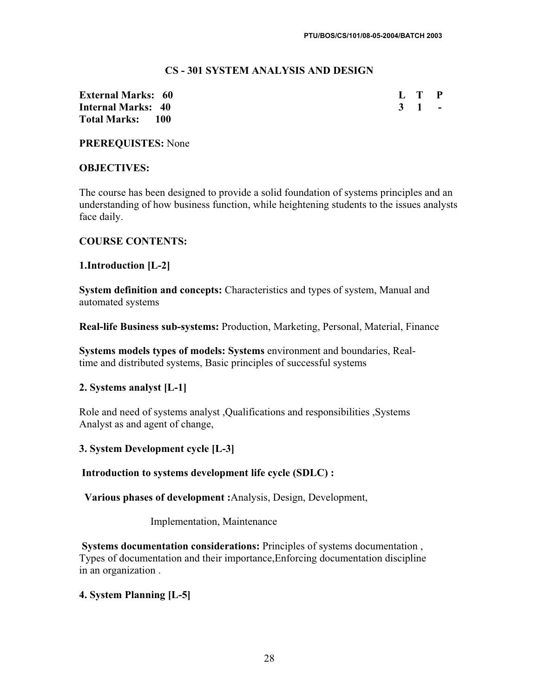# **CS - 301 SYSTEM ANALYSIS AND DESIGN**

External Marks: 60 **L** T P<br>
Internal Marks: 40 3 1 -**Internal Marks: 40 Total Marks: 100** 

**PREREQUISTES:** None

#### **OBJECTIVES:**

The course has been designed to provide a solid foundation of systems principles and an understanding of how business function, while heightening students to the issues analysts face daily.

#### **COURSE CONTENTS:**

#### **1.Introduction [L-2]**

**System definition and concepts:** Characteristics and types of system, Manual and automated systems

**Real-life Business sub-systems:** Production, Marketing, Personal, Material, Finance

**Systems models types of models: Systems** environment and boundaries, Realtime and distributed systems, Basic principles of successful systems

# **2. Systems analyst [L-1]**

Role and need of systems analyst ,Qualifications and responsibilities ,Systems Analyst as and agent of change,

# **3. System Development cycle [L-3]**

#### **Introduction to systems development life cycle (SDLC) :**

 **Various phases of development :**Analysis, Design, Development,

Implementation, Maintenance

 **Systems documentation considerations:** Principles of systems documentation , Types of documentation and their importance,Enforcing documentation discipline in an organization .

# **4. System Planning [L-5]**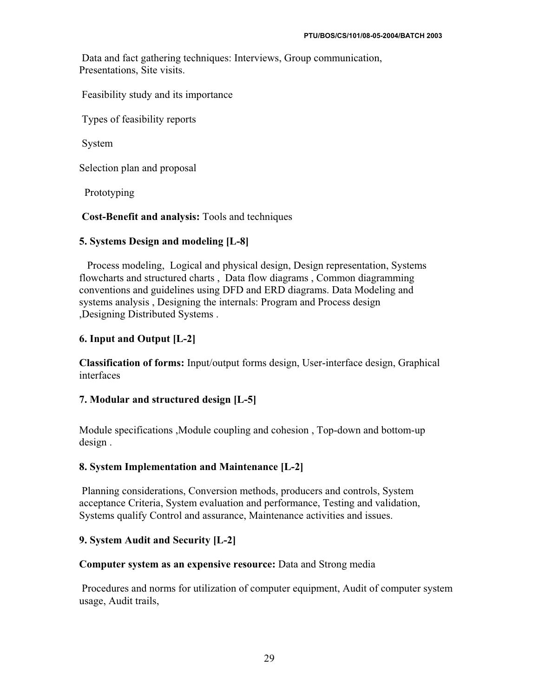Data and fact gathering techniques: Interviews, Group communication, Presentations, Site visits.

Feasibility study and its importance

Types of feasibility reports

System

Selection plan and proposal

Prototyping

# **Cost-Benefit and analysis:** Tools and techniques

# **5. Systems Design and modeling [L-8]**

 Process modeling, Logical and physical design, Design representation, Systems flowcharts and structured charts , Data flow diagrams , Common diagramming conventions and guidelines using DFD and ERD diagrams. Data Modeling and systems analysis , Designing the internals: Program and Process design ,Designing Distributed Systems .

# **6. Input and Output [L-2]**

**Classification of forms:** Input/output forms design, User-interface design, Graphical interfaces

# **7. Modular and structured design [L-5]**

Module specifications ,Module coupling and cohesion , Top-down and bottom-up design .

# **8. System Implementation and Maintenance [L-2]**

 Planning considerations, Conversion methods, producers and controls, System acceptance Criteria, System evaluation and performance, Testing and validation, Systems qualify Control and assurance, Maintenance activities and issues.

# **9. System Audit and Security [L-2]**

# **Computer system as an expensive resource:** Data and Strong media

 Procedures and norms for utilization of computer equipment, Audit of computer system usage, Audit trails,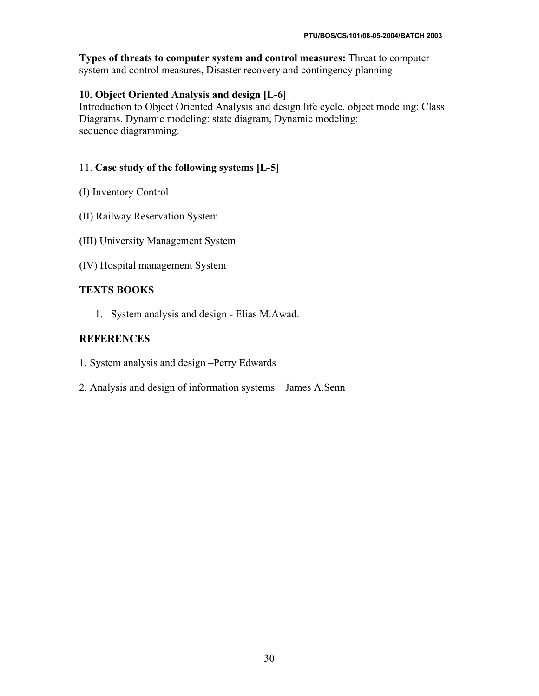**Types of threats to computer system and control measures:** Threat to computer system and control measures, Disaster recovery and contingency planning

# **10. Object Oriented Analysis and design [L-6]**

Introduction to Object Oriented Analysis and design life cycle, object modeling: Class Diagrams, Dynamic modeling: state diagram, Dynamic modeling: sequence diagramming.

# 11. **Case study of the following systems [L-5]**

- (I) Inventory Control
- (II) Railway Reservation System
- (III) University Management System
- (IV) Hospital management System

# **TEXTS BOOKS**

1. System analysis and design - Elias M.Awad.

# **REFERENCES**

- 1. System analysis and design –Perry Edwards
- 2. Analysis and design of information systems James A.Senn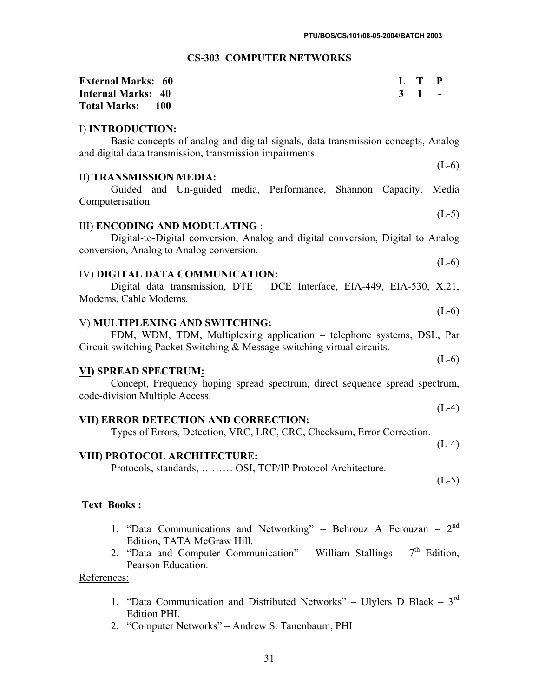# **CS-303 COMPUTER NETWORKS**

| <b>External Marks: 60</b> |                     | L T P |  |
|---------------------------|---------------------|-------|--|
| <b>Internal Marks: 40</b> | $3 \quad 1 \quad -$ |       |  |
| Total Marks: 100          |                     |       |  |

#### I) **INTRODUCTION:**

Basic concepts of analog and digital signals, data transmission concepts, Analog and digital data transmission, transmission impairments.

#### II) **TRANSMISSION MEDIA:**

Guided and Un-guided media, Performance, Shannon Capacity. Media Computerisation.

#### III) **ENCODING AND MODULATING** :

Digital-to-Digital conversion, Analog and digital conversion, Digital to Analog conversion, Analog to Analog conversion.

#### IV) **DIGITAL DATA COMMUNICATION:**

Digital data transmission, DTE – DCE Interface, EIA-449, EIA-530, X.21, Modems, Cable Modems.

#### V) **MULTIPLEXING AND SWITCHING:**

FDM, WDM, TDM, Multiplexing application – telephone systems, DSL, Par Circuit switching Packet Switching & Message switching virtual circuits.

#### **VI) SPREAD SPECTRUM:**

Concept, Frequency hoping spread spectrum, direct sequence spread spectrum, code-division Multiple Access.

#### **VII) ERROR DETECTION AND CORRECTION:**

Types of Errors, Detection, VRC, LRC, CRC, Checksum, Error Correction.

 $(L-4)$ 

 $(L-4)$ 

#### **VIII) PROTOCOL ARCHITECTURE:**

Protocols, standards, ……… OSI, TCP/IP Protocol Architecture.

 $(L-5)$ 

# **Text Books :**

- 1. "Data Communications and Networking" Behrouz A Ferouzan 2nd Edition, TATA McGraw Hill.
- 2. "Data and Computer Communication" William Stallings  $7<sup>th</sup>$  Edition, Pearson Education.

#### References:

- 1. "Data Communication and Distributed Networks" Ulylers D Black  $3<sup>rd</sup>$ Edition PHI.
- 2. "Computer Networks" Andrew S. Tanenbaum, PHI

 $(L-6)$ 

 $(L-5)$ 

 $(L-6)$ 

 $(L-6)$ 

 $(L-6)$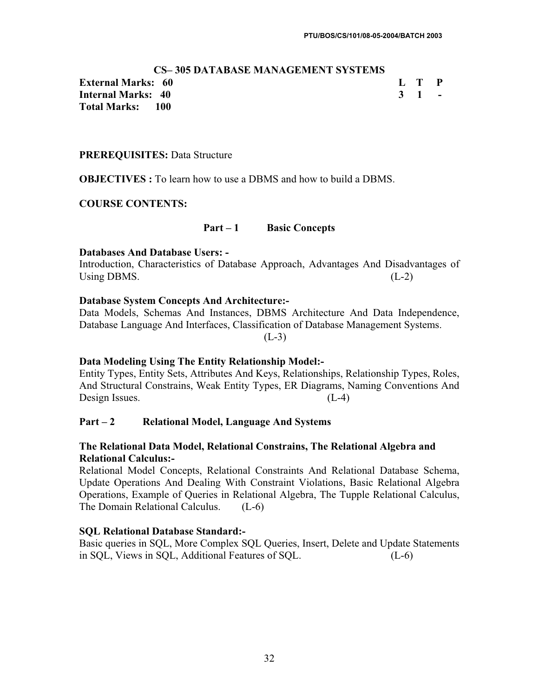## **CS– 305 DATABASE MANAGEMENT SYSTEMS**

**External Marks:** 60 **L** T P **Internal Marks: 40 3 1 - 20 3 2 3 4 - 20 3 2 4 - 20 3 4 - 20 3 4 - 20 3 4 - 20 3 4 - 20 3 4 - 20 3 4 - 20 3 4 - 20 3 4 - 20 3 4 - 20 3 4 - 20 3 4 - 20 3 4 - 20 3 4 - 20 3 4 - 20 3 4 - 20 3 4 - 20 3 4 - 20 3 4 - 20 3 4 - 2 Total Marks: 100** 

#### **PREREQUISITES:** Data Structure

**OBJECTIVES :** To learn how to use a DBMS and how to build a DBMS.

#### **COURSE CONTENTS:**

#### **Part – 1 Basic Concepts**

#### **Databases And Database Users: -**

Introduction, Characteristics of Database Approach, Advantages And Disadvantages of Using DBMS. (L-2)

# **Database System Concepts And Architecture:-**

Data Models, Schemas And Instances, DBMS Architecture And Data Independence, Database Language And Interfaces, Classification of Database Management Systems.  $(L-3)$ 

#### **Data Modeling Using The Entity Relationship Model:-**

Entity Types, Entity Sets, Attributes And Keys, Relationships, Relationship Types, Roles, And Structural Constrains, Weak Entity Types, ER Diagrams, Naming Conventions And Design Issues. (L-4)

#### **Part – 2 Relational Model, Language And Systems**

#### **The Relational Data Model, Relational Constrains, The Relational Algebra and Relational Calculus:-**

Relational Model Concepts, Relational Constraints And Relational Database Schema, Update Operations And Dealing With Constraint Violations, Basic Relational Algebra Operations, Example of Queries in Relational Algebra, The Tupple Relational Calculus, The Domain Relational Calculus. (L-6)

#### **SQL Relational Database Standard:-**

Basic queries in SQL, More Complex SQL Queries, Insert, Delete and Update Statements in SQL, Views in SQL, Additional Features of SQL. (L-6)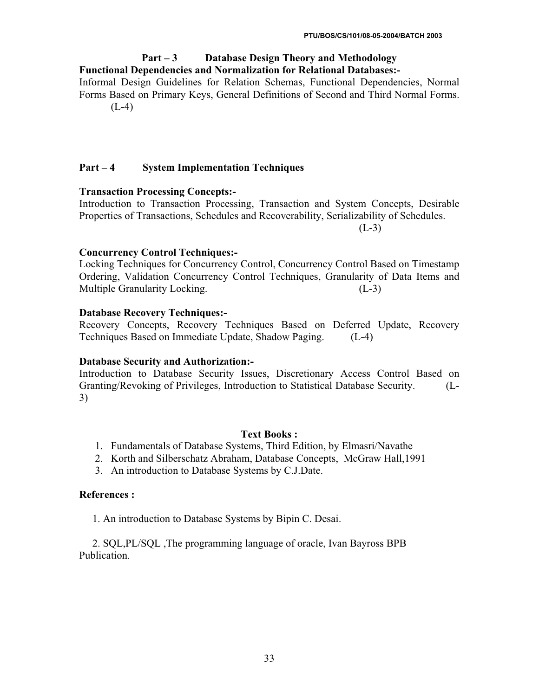# **Part – 3 Database Design Theory and Methodology**

**Functional Dependencies and Normalization for Relational Databases:-** 

Informal Design Guidelines for Relation Schemas, Functional Dependencies, Normal Forms Based on Primary Keys, General Definitions of Second and Third Normal Forms.  $(L-4)$ 

# **Part – 4 System Implementation Techniques**

# **Transaction Processing Concepts:-**

Introduction to Transaction Processing, Transaction and System Concepts, Desirable Properties of Transactions, Schedules and Recoverability, Serializability of Schedules.

 $(L-3)$ 

# **Concurrency Control Techniques:-**

Locking Techniques for Concurrency Control, Concurrency Control Based on Timestamp Ordering, Validation Concurrency Control Techniques, Granularity of Data Items and Multiple Granularity Locking. (L-3)

# **Database Recovery Techniques:-**

Recovery Concepts, Recovery Techniques Based on Deferred Update, Recovery Techniques Based on Immediate Update, Shadow Paging. (L-4)

# **Database Security and Authorization:-**

Introduction to Database Security Issues, Discretionary Access Control Based on Granting/Revoking of Privileges, Introduction to Statistical Database Security. (L-3)

# **Text Books :**

- 1. Fundamentals of Database Systems, Third Edition, by Elmasri/Navathe
- 2. Korth and Silberschatz Abraham, Database Concepts, McGraw Hall,1991
- 3. An introduction to Database Systems by C.J.Date.

# **References :**

1. An introduction to Database Systems by Bipin C. Desai.

2. SQL,PL/SQL ,The programming language of oracle, Ivan Bayross BPB Publication.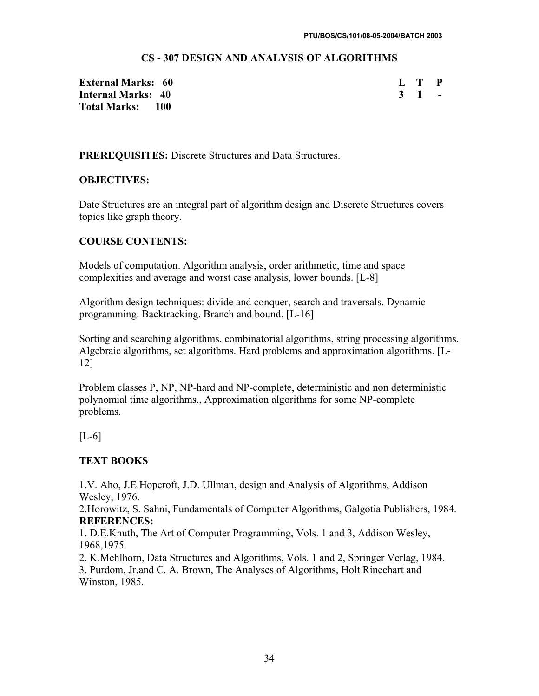# **CS - 307 DESIGN AND ANALYSIS OF ALGORITHMS**

**External Marks:** 60 **L** T P **Internal Marks: 40 3 1 - Total Marks: 100** 

**PREREQUISITES:** Discrete Structures and Data Structures.

#### **OBJECTIVES:**

Date Structures are an integral part of algorithm design and Discrete Structures covers topics like graph theory.

# **COURSE CONTENTS:**

Models of computation. Algorithm analysis, order arithmetic, time and space complexities and average and worst case analysis, lower bounds. [L-8]

Algorithm design techniques: divide and conquer, search and traversals. Dynamic programming. Backtracking. Branch and bound. [L-16]

Sorting and searching algorithms, combinatorial algorithms, string processing algorithms. Algebraic algorithms, set algorithms. Hard problems and approximation algorithms. [L-12]

Problem classes P, NP, NP-hard and NP-complete, deterministic and non deterministic polynomial time algorithms., Approximation algorithms for some NP-complete problems.

 $[L-6]$ 

# **TEXT BOOKS**

1.V. Aho, J.E.Hopcroft, J.D. Ullman, design and Analysis of Algorithms, Addison Wesley, 1976.

2.Horowitz, S. Sahni, Fundamentals of Computer Algorithms, Galgotia Publishers, 1984. **REFERENCES:**

1. D.E.Knuth, The Art of Computer Programming, Vols. 1 and 3, Addison Wesley, 1968,1975.

2. K.Mehlhorn, Data Structures and Algorithms, Vols. 1 and 2, Springer Verlag, 1984.

3. Purdom, Jr.and C. A. Brown, The Analyses of Algorithms, Holt Rinechart and Winston, 1985.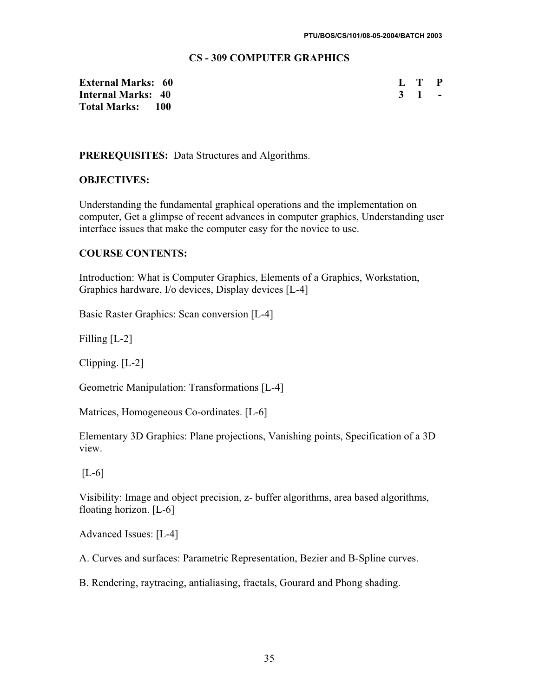#### **CS - 309 COMPUTER GRAPHICS**

External Marks: 60 **L** T P<br>
Internal Marks: 40 3 1 -**Internal Marks: 40 3 1 - 20 3 2 3 4 - 20 3 2 4 - 20 3 4 - 20 3 4 - 20 3 4 - 20 3 4 - 20 3 4 - 20 3 4 - 20 3 4 - 20 3 4 - 20 3 4 - 20 3 4 - 20 3 4 - 20 3 4 - 20 3 4 - 20 3 4 - 20 3 4 - 20 3 4 - 20 3 4 - 20 3 4 - 20 3 4 - 2 Total Marks: 100** 

**PREREQUISITES:** Data Structures and Algorithms.

#### **OBJECTIVES:**

Understanding the fundamental graphical operations and the implementation on computer, Get a glimpse of recent advances in computer graphics, Understanding user interface issues that make the computer easy for the novice to use.

#### **COURSE CONTENTS:**

Introduction: What is Computer Graphics, Elements of a Graphics, Workstation, Graphics hardware, I/o devices, Display devices [L-4]

Basic Raster Graphics: Scan conversion [L-4]

Filling [L-2]

Clipping. [L-2]

Geometric Manipulation: Transformations [L-4]

Matrices, Homogeneous Co-ordinates. [L-6]

Elementary 3D Graphics: Plane projections, Vanishing points, Specification of a 3D view.

 $[L-6]$ 

Visibility: Image and object precision, z- buffer algorithms, area based algorithms, floating horizon. [L-6]

Advanced Issues: [L-4]

A. Curves and surfaces: Parametric Representation, Bezier and B-Spline curves.

B. Rendering, raytracing, antialiasing, fractals, Gourard and Phong shading.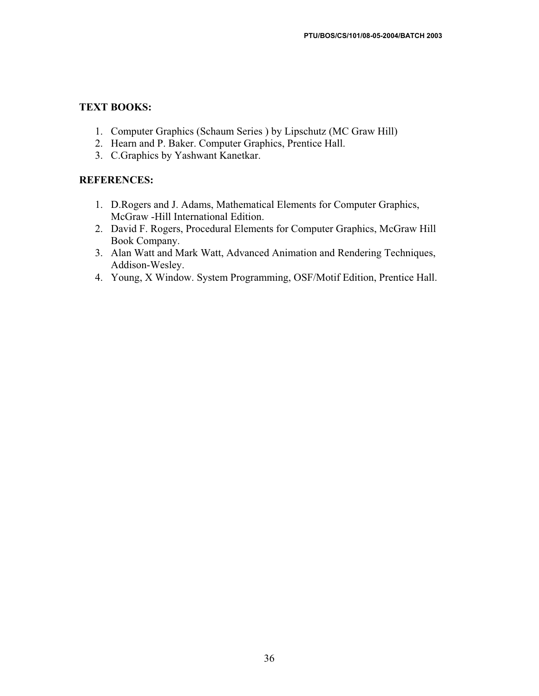# **TEXT BOOKS:**

- 1. Computer Graphics (Schaum Series ) by Lipschutz (MC Graw Hill)
- 2. Hearn and P. Baker. Computer Graphics, Prentice Hall.
- 3. C.Graphics by Yashwant Kanetkar.

# **REFERENCES:**

- 1. D.Rogers and J. Adams, Mathematical Elements for Computer Graphics, McGraw -Hill International Edition.
- 2. David F. Rogers, Procedural Elements for Computer Graphics, McGraw Hill Book Company.
- 3. Alan Watt and Mark Watt, Advanced Animation and Rendering Techniques, Addison-Wesley.
- 4. Young, X Window. System Programming, OSF/Motif Edition, Prentice Hall.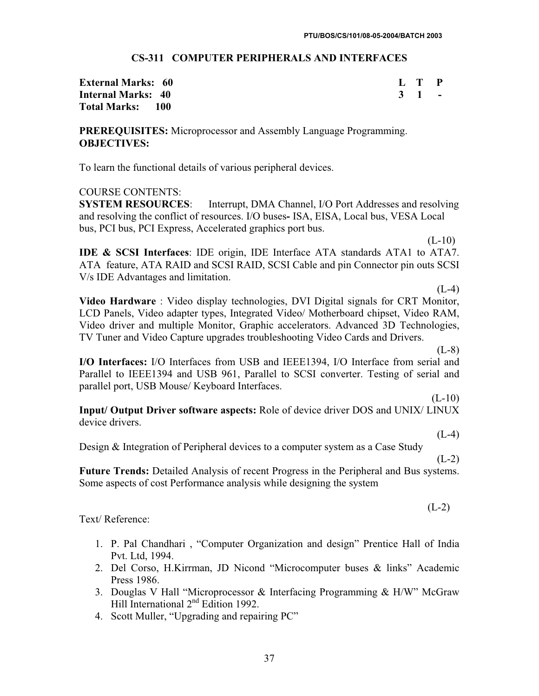## **CS-311 COMPUTER PERIPHERALS AND INTERFACES**

| <b>External Marks: 60</b> |                     | L T P |  |
|---------------------------|---------------------|-------|--|
| <b>Internal Marks: 40</b> | $3 \quad 1 \quad -$ |       |  |
| Total Marks: 100          |                     |       |  |

**PREREQUISITES:** Microprocessor and Assembly Language Programming. **OBJECTIVES:**

To learn the functional details of various peripheral devices.

#### COURSE CONTENTS:

**SYSTEM RESOURCES:** Interrupt, DMA Channel, I/O Port Addresses and resolving and resolving the conflict of resources. I/O buses**-** ISA, EISA, Local bus, VESA Local bus, PCI bus, PCI Express, Accelerated graphics port bus.

 $(L-10)$ 

**IDE & SCSI Interfaces**: IDE origin, IDE Interface ATA standards ATA1 to ATA7. ATA feature, ATA RAID and SCSI RAID, SCSI Cable and pin Connector pin outs SCSI V/s IDE Advantages and limitation.

 $(L-4)$ **Video Hardware** : Video display technologies, DVI Digital signals for CRT Monitor, LCD Panels, Video adapter types, Integrated Video/ Motherboard chipset, Video RAM, Video driver and multiple Monitor, Graphic accelerators. Advanced 3D Technologies, TV Tuner and Video Capture upgrades troubleshooting Video Cards and Drivers.

 $(L-8)$ 

**I/O Interfaces:** I/O Interfaces from USB and IEEE1394, I/O Interface from serial and Parallel to IEEE1394 and USB 961, Parallel to SCSI converter. Testing of serial and parallel port, USB Mouse/ Keyboard Interfaces.

 $(L-10)$ 

**Input/ Output Driver software aspects:** Role of device driver DOS and UNIX/ LINUX device drivers.

 $(L-4)$ 

Design & Integration of Peripheral devices to a computer system as a Case Study

 $(L-2)$ 

 $(L-2)$ 

**Future Trends:** Detailed Analysis of recent Progress in the Peripheral and Bus systems. Some aspects of cost Performance analysis while designing the system

Text/ Reference:

- 1. P. Pal Chandhari , "Computer Organization and design" Prentice Hall of India Pvt. Ltd, 1994.
- 2. Del Corso, H.Kirrman, JD Nicond "Microcomputer buses & links" Academic Press 1986.
- 3. Douglas V Hall "Microprocessor & Interfacing Programming & H/W" McGraw Hill International 2<sup>nd</sup> Edition 1992.
- 4. Scott Muller, "Upgrading and repairing PC"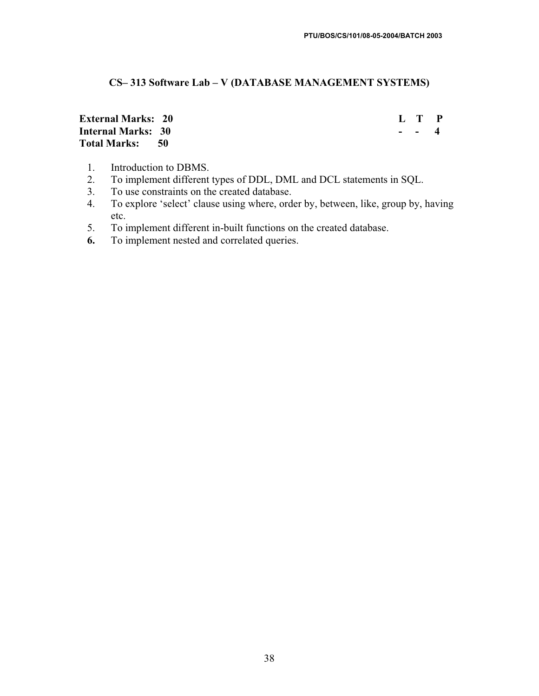# **CS– 313 Software Lab – V (DATABASE MANAGEMENT SYSTEMS)**

External Marks: 20 **L T P**<br>
Internal Marks: 30 **L T P Internal Marks: 30 - 4 - 4**  $\overline{a}$  **+ 4**  $\overline{a}$  **+ 4**  $\overline{a}$  **+ 4**  $\overline{a}$  **+ 4**  $\overline{a}$  **+ 4**  $\overline{a}$  **+ 4**  $\overline{a}$  **+ 4**  $\overline{a}$  **+ 4**  $\overline{a}$  **+**  $\overline{a}$  **+**  $\overline{a}$  **+**  $\overline{a}$  **+**  $\overline{a}$  **+**  $\overline{a}$  **+**  $\overline{a}$  **+**  $\overline{a}$  **+ \ Total Marks: 50** 

- 1. Introduction to DBMS.
- 2. To implement different types of DDL, DML and DCL statements in SQL.
- 3. To use constraints on the created database.
- 4. To explore 'select' clause using where, order by, between, like, group by, having etc.
- 5. To implement different in-built functions on the created database.
- **6.** To implement nested and correlated queries.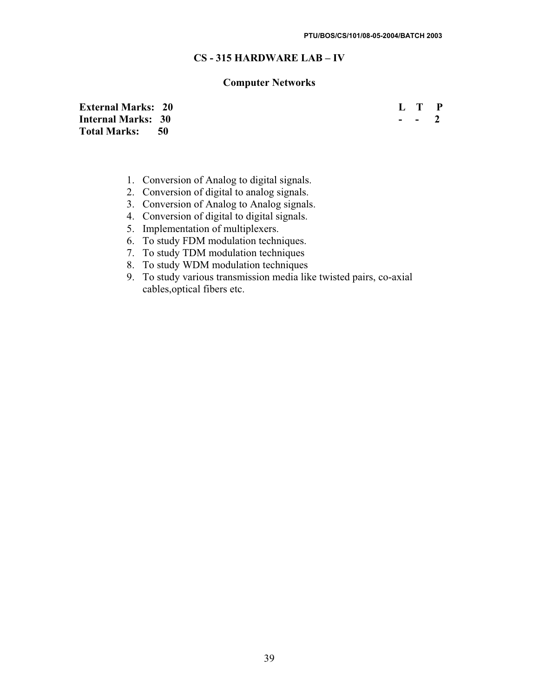## **CS - 315 HARDWARE LAB – IV**

## **Computer Networks**

**External Marks: 20 L T P Internal Marks: 30** - - 2<br>**Total Marks: 50 Total Marks:** 

- 1. Conversion of Analog to digital signals.
- 2. Conversion of digital to analog signals.
- 3. Conversion of Analog to Analog signals.
- 4. Conversion of digital to digital signals.
- 5. Implementation of multiplexers.
- 6. To study FDM modulation techniques.
- 7. To study TDM modulation techniques
- 8. To study WDM modulation techniques
- 9. To study various transmission media like twisted pairs, co-axial cables,optical fibers etc.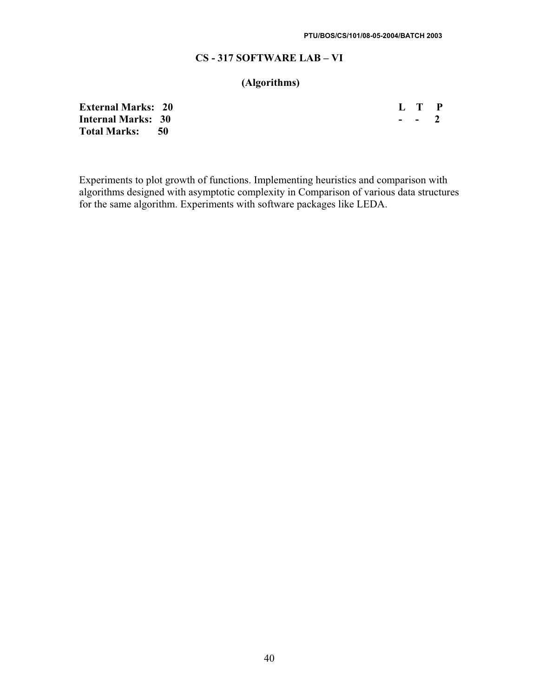# **CS - 317 SOFTWARE LAB – VI**

# **(Algorithms)**

**External Marks: 20 Internal Marks: 30<br>Total Marks: 50 Total Marks:** 

| 1. | T. | P |
|----|----|---|
|    |    | 7 |

Experiments to plot growth of functions. Implementing heuristics and comparison with algorithms designed with asymptotic complexity in Comparison of various data structures for the same algorithm. Experiments with software packages like LEDA.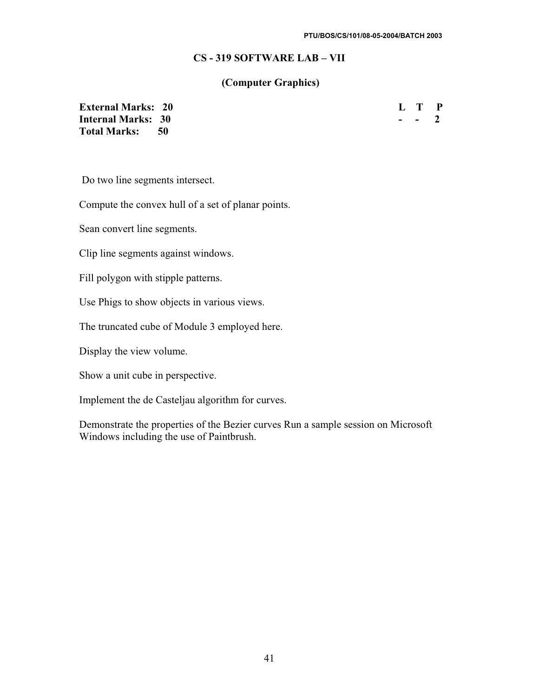# **CS - 319 SOFTWARE LAB – VII**

# **(Computer Graphics)**

**External Marks: 20 L T P Internal Marks: 30 - - 2 Total Marks:** 

Do two line segments intersect.

Compute the convex hull of a set of planar points.

Sean convert line segments.

Clip line segments against windows.

Fill polygon with stipple patterns.

Use Phigs to show objects in various views.

The truncated cube of Module 3 employed here.

Display the view volume.

Show a unit cube in perspective.

Implement the de Casteljau algorithm for curves.

Demonstrate the properties of the Bezier curves Run a sample session on Microsoft Windows including the use of Paintbrush.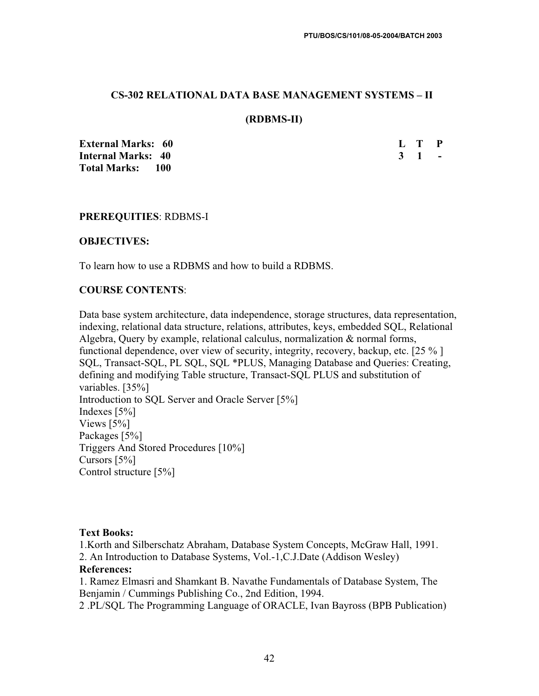#### **CS-302 RELATIONAL DATA BASE MANAGEMENT SYSTEMS – II**

#### **(RDBMS-II)**

| <b>External Marks: 60</b> |                     | L T P |  |
|---------------------------|---------------------|-------|--|
| <b>Internal Marks: 40</b> | $3 \quad 1 \quad -$ |       |  |
| Total Marks: 100          |                     |       |  |

#### **PREREQUITIES**: RDBMS-I

#### **OBJECTIVES:**

To learn how to use a RDBMS and how to build a RDBMS.

### **COURSE CONTENTS**:

Data base system architecture, data independence, storage structures, data representation, indexing, relational data structure, relations, attributes, keys, embedded SQL, Relational Algebra, Query by example, relational calculus, normalization & normal forms, functional dependence, over view of security, integrity, recovery, backup, etc. [25 % ] SQL, Transact-SQL, PL SQL, SQL \*PLUS, Managing Database and Queries: Creating, defining and modifying Table structure, Transact-SQL PLUS and substitution of variables. [35%] Introduction to SQL Server and Oracle Server [5%] Indexes [5%] Views [5%] Packages [5%] Triggers And Stored Procedures [10%] Cursors [5%] Control structure [5%]

#### **Text Books:**

1.Korth and Silberschatz Abraham, Database System Concepts, McGraw Hall, 1991. 2. An Introduction to Database Systems, Vol.-1,C.J.Date (Addison Wesley) **References:** 1. Ramez Elmasri and Shamkant B. Navathe Fundamentals of Database System, The

Benjamin / Cummings Publishing Co., 2nd Edition, 1994.

2 .PL/SQL The Programming Language of ORACLE, Ivan Bayross (BPB Publication)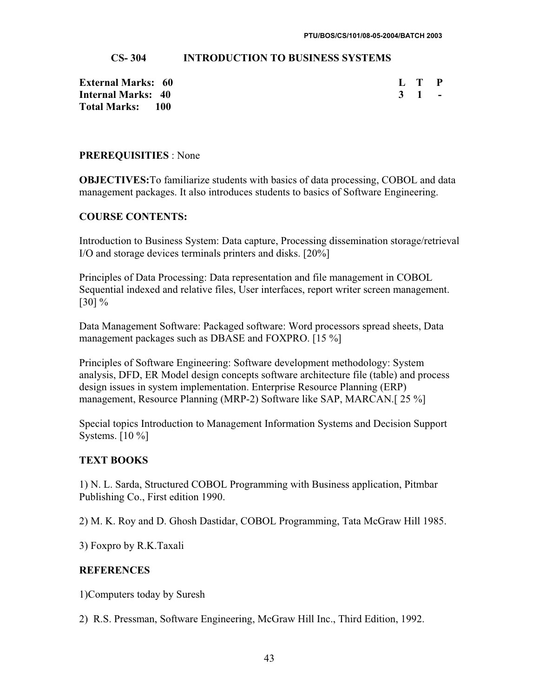## **CS- 304 INTRODUCTION TO BUSINESS SYSTEMS**

**External Marks:** 60 **L** T P **Internal Marks: 40 3 1 - Total Marks: 100** 

#### **PREREQUISITIES** : None

**OBJECTIVES:**To familiarize students with basics of data processing, COBOL and data management packages. It also introduces students to basics of Software Engineering.

#### **COURSE CONTENTS:**

Introduction to Business System: Data capture, Processing dissemination storage/retrieval I/O and storage devices terminals printers and disks. [20%]

Principles of Data Processing: Data representation and file management in COBOL Sequential indexed and relative files, User interfaces, report writer screen management. [30] %

Data Management Software: Packaged software: Word processors spread sheets, Data management packages such as DBASE and FOXPRO. [15 %]

Principles of Software Engineering: Software development methodology: System analysis, DFD, ER Model design concepts software architecture file (table) and process design issues in system implementation. Enterprise Resource Planning (ERP) management, Resource Planning (MRP-2) Software like SAP, MARCAN.[ 25 %]

Special topics Introduction to Management Information Systems and Decision Support Systems. [10 %]

## **TEXT BOOKS**

1) N. L. Sarda, Structured COBOL Programming with Business application, Pitmbar Publishing Co., First edition 1990.

2) M. K. Roy and D. Ghosh Dastidar, COBOL Programming, Tata McGraw Hill 1985.

3) Foxpro by R.K.Taxali

#### **REFERENCES**

1)Computers today by Suresh

2) R.S. Pressman, Software Engineering, McGraw Hill Inc., Third Edition, 1992.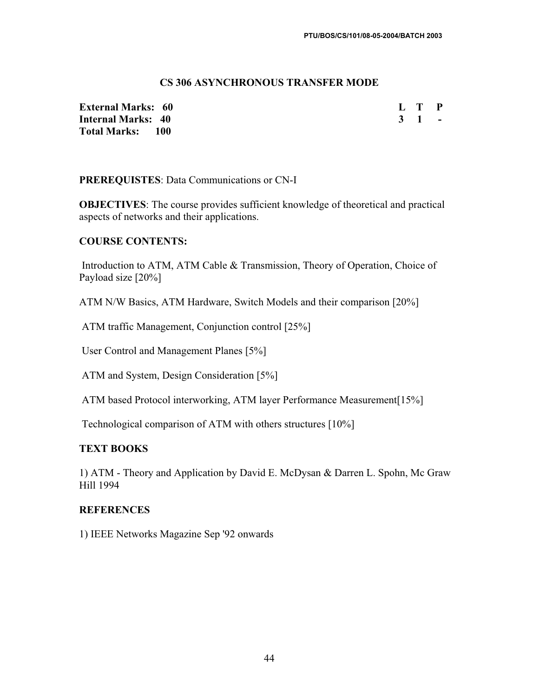# **CS 306 ASYNCHRONOUS TRANSFER MODE**

**External Marks: 60 L T P Internal Marks: 40 3 1 - Total Marks: 100** 

## **PREREQUISTES**: Data Communications or CN-I

**OBJECTIVES**: The course provides sufficient knowledge of theoretical and practical aspects of networks and their applications.

#### **COURSE CONTENTS:**

 Introduction to ATM, ATM Cable & Transmission, Theory of Operation, Choice of Payload size [20%]

ATM N/W Basics, ATM Hardware, Switch Models and their comparison [20%]

ATM traffic Management, Conjunction control [25%]

User Control and Management Planes [5%]

ATM and System, Design Consideration [5%]

ATM based Protocol interworking, ATM layer Performance Measurement[15%]

Technological comparison of ATM with others structures [10%]

## **TEXT BOOKS**

1) ATM - Theory and Application by David E. McDysan & Darren L. Spohn, Mc Graw Hill 1994

#### **REFERENCES**

1) IEEE Networks Magazine Sep '92 onwards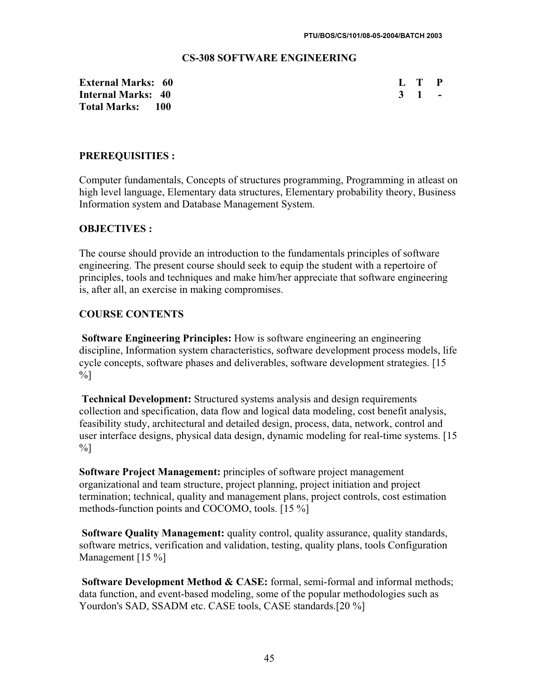#### **CS-308 SOFTWARE ENGINEERING**

**External Marks:** 60 **L** T P **Internal Marks: 40 3 1 - 20 3 2 3 4 - 20 3 2 4 - 20 3 4 - 20 3 4 - 20 3 4 - 20 3 4 - 20 3 4 - 20 3 4 - 20 3 4 - 20 3 4 - 20 3 4 - 20 3 4 - 20 3 4 - 20 3 4 - 20 3 4 - 20 3 4 - 20 3 4 - 20 3 4 - 20 3 4 - 20 3 4 - 20 3 4 - 2 Total Marks: 100** 

#### **PREREQUISITIES :**

Computer fundamentals, Concepts of structures programming, Programming in atleast on high level language, Elementary data structures, Elementary probability theory, Business Information system and Database Management System.

#### **OBJECTIVES :**

The course should provide an introduction to the fundamentals principles of software engineering. The present course should seek to equip the student with a repertoire of principles, tools and techniques and make him/her appreciate that software engineering is, after all, an exercise in making compromises.

## **COURSE CONTENTS**

 **Software Engineering Principles:** How is software engineering an engineering discipline, Information system characteristics, software development process models, life cycle concepts, software phases and deliverables, software development strategies. [15  $\%$ ]

**Technical Development:** Structured systems analysis and design requirements collection and specification, data flow and logical data modeling, cost benefit analysis, feasibility study, architectural and detailed design, process, data, network, control and user interface designs, physical data design, dynamic modeling for real-time systems. [15 %]

**Software Project Management:** principles of software project management organizational and team structure, project planning, project initiation and project termination; technical, quality and management plans, project controls, cost estimation methods-function points and COCOMO, tools. [15 %]

 **Software Quality Management:** quality control, quality assurance, quality standards, software metrics, verification and validation, testing, quality plans, tools Configuration Management [15 %]

**Software Development Method & CASE:** formal, semi-formal and informal methods; data function, and event-based modeling, some of the popular methodologies such as Yourdon's SAD, SSADM etc. CASE tools, CASE standards.[20 %]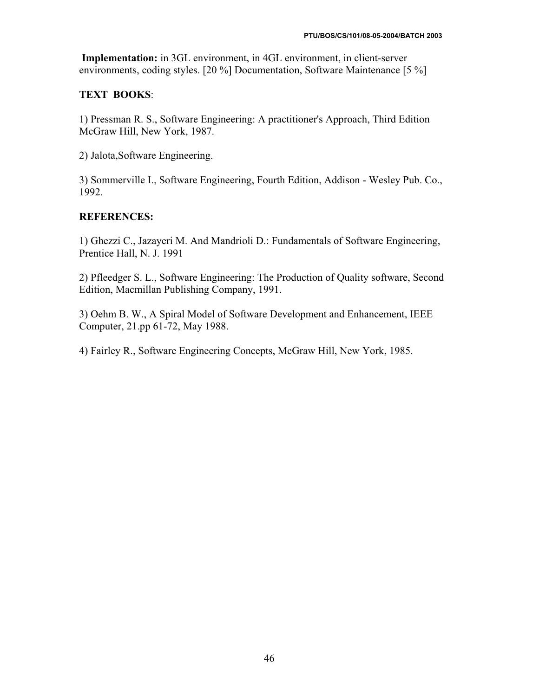**Implementation:** in 3GL environment, in 4GL environment, in client-server environments, coding styles. [20 %] Documentation, Software Maintenance [5 %]

# **TEXT BOOKS**:

1) Pressman R. S., Software Engineering: A practitioner's Approach, Third Edition McGraw Hill, New York, 1987.

2) Jalota,Software Engineering.

3) Sommerville I., Software Engineering, Fourth Edition, Addison - Wesley Pub. Co., 1992.

# **REFERENCES:**

1) Ghezzi C., Jazayeri M. And Mandrioli D.: Fundamentals of Software Engineering, Prentice Hall, N. J. 1991

2) Pfleedger S. L., Software Engineering: The Production of Quality software, Second Edition, Macmillan Publishing Company, 1991.

3) Oehm B. W., A Spiral Model of Software Development and Enhancement, IEEE Computer, 21.pp 61-72, May 1988.

4) Fairley R., Software Engineering Concepts, McGraw Hill, New York, 1985.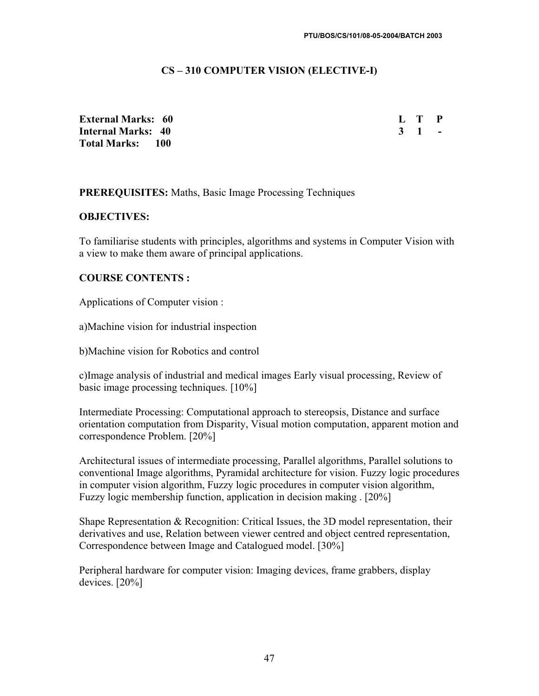# **CS – 310 COMPUTER VISION (ELECTIVE-I)**

External Marks: 60 **L** T P<br>
Internal Marks: 40 3 1 -**Internal Marks: 40 Total Marks: 100** 

## **PREREQUISITES:** Maths, Basic Image Processing Techniques

#### **OBJECTIVES:**

To familiarise students with principles, algorithms and systems in Computer Vision with a view to make them aware of principal applications.

## **COURSE CONTENTS :**

Applications of Computer vision :

a)Machine vision for industrial inspection

b)Machine vision for Robotics and control

c)Image analysis of industrial and medical images Early visual processing, Review of basic image processing techniques. [10%]

Intermediate Processing: Computational approach to stereopsis, Distance and surface orientation computation from Disparity, Visual motion computation, apparent motion and correspondence Problem. [20%]

Architectural issues of intermediate processing, Parallel algorithms, Parallel solutions to conventional Image algorithms, Pyramidal architecture for vision. Fuzzy logic procedures in computer vision algorithm, Fuzzy logic procedures in computer vision algorithm, Fuzzy logic membership function, application in decision making . [20%]

Shape Representation & Recognition: Critical Issues, the 3D model representation, their derivatives and use, Relation between viewer centred and object centred representation, Correspondence between Image and Catalogued model. [30%]

Peripheral hardware for computer vision: Imaging devices, frame grabbers, display devices. [20%]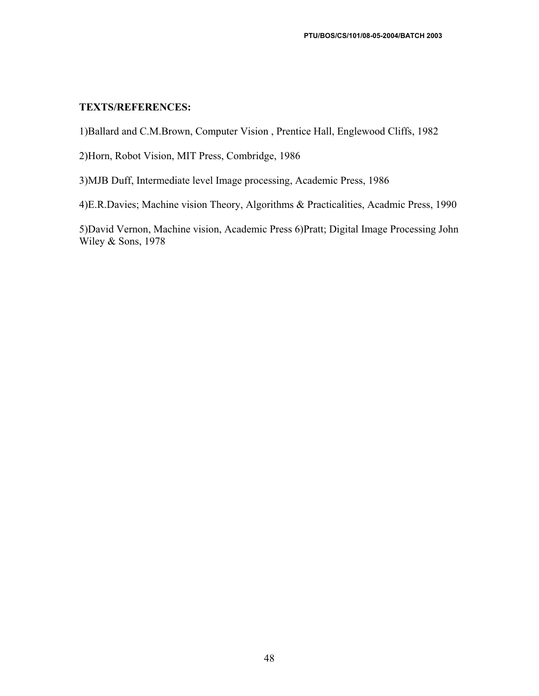# **TEXTS/REFERENCES:**

1)Ballard and C.M.Brown, Computer Vision , Prentice Hall, Englewood Cliffs, 1982

2)Horn, Robot Vision, MIT Press, Combridge, 1986

3)MJB Duff, Intermediate level Image processing, Academic Press, 1986

4)E.R.Davies; Machine vision Theory, Algorithms & Practicalities, Acadmic Press, 1990

5)David Vernon, Machine vision, Academic Press 6)Pratt; Digital Image Processing John Wiley & Sons, 1978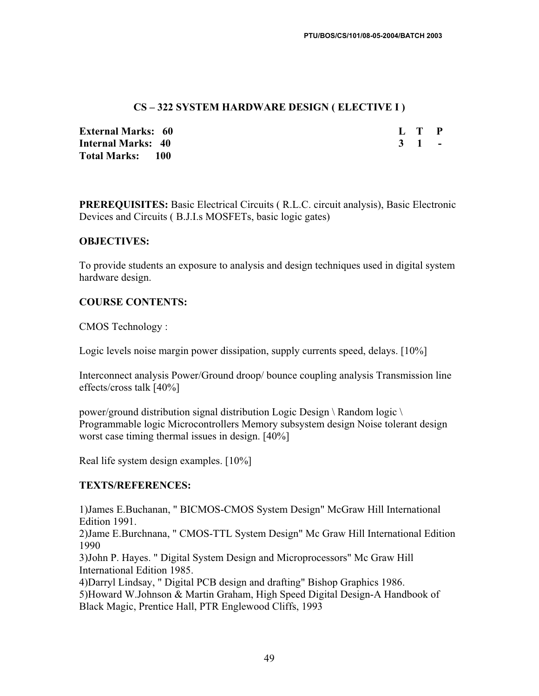#### **CS – 322 SYSTEM HARDWARE DESIGN ( ELECTIVE I )**

**External Marks:** 60 **L** T P **Internal Marks: 40 3 1 - 20 3 2 3 4 - 20 3 2 4 - 20 3 4 - 20 3 4 - 20 3 4 - 20 3 4 - 20 3 4 - 20 3 4 - 20 3 4 - 20 3 4 - 20 3 4 - 20 3 4 - 20 3 4 - 20 3 4 - 20 3 4 - 20 3 4 - 20 3 4 - 20 3 4 - 20 3 4 - 20 3 4 - 20 3 4 - 2 Total Marks: 100** 

**PREREQUISITES:** Basic Electrical Circuits ( R.L.C. circuit analysis), Basic Electronic Devices and Circuits ( B.J.I.s MOSFETs, basic logic gates)

#### **OBJECTIVES:**

To provide students an exposure to analysis and design techniques used in digital system hardware design.

#### **COURSE CONTENTS:**

CMOS Technology :

Logic levels noise margin power dissipation, supply currents speed, delays. [10%]

Interconnect analysis Power/Ground droop/ bounce coupling analysis Transmission line effects/cross talk [40%]

power/ground distribution signal distribution Logic Design \ Random logic \ Programmable logic Microcontrollers Memory subsystem design Noise tolerant design worst case timing thermal issues in design. [40%]

Real life system design examples. [10%]

## **TEXTS/REFERENCES:**

1)James E.Buchanan, " BICMOS-CMOS System Design" McGraw Hill International Edition 1991.

2)Jame E.Burchnana, " CMOS-TTL System Design" Mc Graw Hill International Edition 1990

3)John P. Hayes. " Digital System Design and Microprocessors" Mc Graw Hill International Edition 1985.

4)Darryl Lindsay, " Digital PCB design and drafting" Bishop Graphics 1986.

5)Howard W.Johnson & Martin Graham, High Speed Digital Design-A Handbook of Black Magic, Prentice Hall, PTR Englewood Cliffs, 1993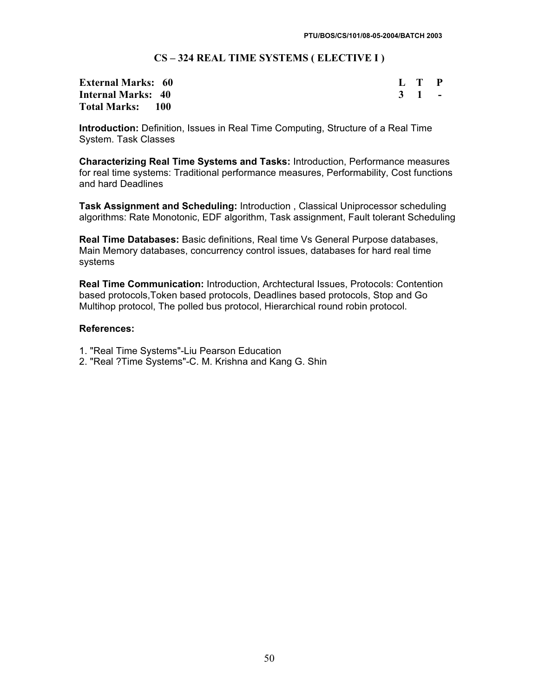#### **CS – 324 REAL TIME SYSTEMS ( ELECTIVE I )**

**External Marks: 60 L T P Internal Marks: 40 3 1 - Total Marks: 100**

**Introduction:** Definition, Issues in Real Time Computing, Structure of a Real Time System. Task Classes

**Characterizing Real Time Systems and Tasks:** Introduction, Performance measures for real time systems: Traditional performance measures, Performability, Cost functions and hard Deadlines

**Task Assignment and Scheduling:** Introduction , Classical Uniprocessor scheduling algorithms: Rate Monotonic, EDF algorithm, Task assignment, Fault tolerant Scheduling

**Real Time Databases:** Basic definitions, Real time Vs General Purpose databases, Main Memory databases, concurrency control issues, databases for hard real time systems

**Real Time Communication:** Introduction, Archtectural Issues, Protocols: Contention based protocols,Token based protocols, Deadlines based protocols, Stop and Go Multihop protocol, The polled bus protocol, Hierarchical round robin protocol.

#### **References:**

1. "Real Time Systems"-Liu Pearson Education

2. "Real ?Time Systems"-C. M. Krishna and Kang G. Shin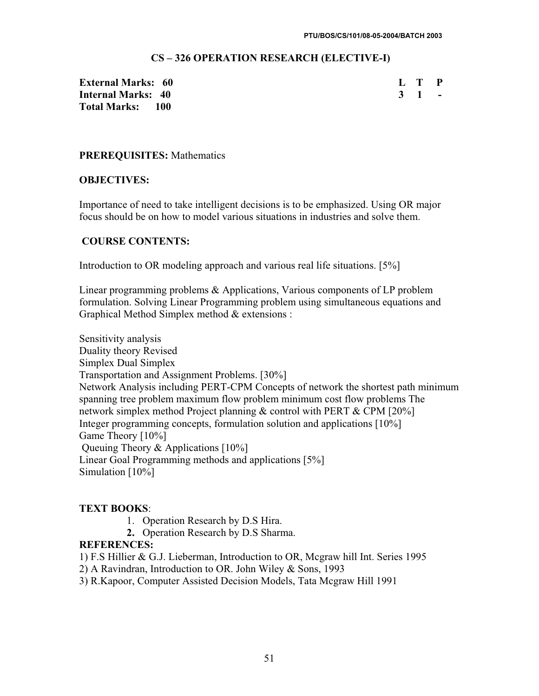# **CS – 326 OPERATION RESEARCH (ELECTIVE-I)**

**External Marks:** 60 **L** T P **Internal Marks: 40 3 1 - 20 3 2 3 4 - 20 3 2 4 - 20 3 4 - 20 3 4 - 20 3 4 - 20 3 4 - 20 3 4 - 20 3 4 - 20 3 4 - 20 3 4 - 20 3 4 - 20 3 4 - 20 3 4 - 20 3 4 - 20 3 4 - 20 3 4 - 20 3 4 - 20 3 4 - 20 3 4 - 20 3 4 - 20 3 4 - 2 Total Marks: 100** 

#### **PREREQUISITES:** Mathematics

#### **OBJECTIVES:**

Importance of need to take intelligent decisions is to be emphasized. Using OR major focus should be on how to model various situations in industries and solve them.

#### **COURSE CONTENTS:**

Introduction to OR modeling approach and various real life situations. [5%]

Linear programming problems & Applications, Various components of LP problem formulation. Solving Linear Programming problem using simultaneous equations and Graphical Method Simplex method & extensions :

Sensitivity analysis Duality theory Revised Simplex Dual Simplex Transportation and Assignment Problems. [30%] Network Analysis including PERT-CPM Concepts of network the shortest path minimum spanning tree problem maximum flow problem minimum cost flow problems The network simplex method Project planning & control with PERT & CPM [20%] Integer programming concepts, formulation solution and applications [10%] Game Theory [10%] Queuing Theory & Applications [10%] Linear Goal Programming methods and applications [5%] Simulation [10%]

#### **TEXT BOOKS**:

- 1. Operation Research by D.S Hira.
- **2.** Operation Research by D.S Sharma.

#### **REFERENCES:**

1) F.S Hillier & G.J. Lieberman, Introduction to OR, Mcgraw hill Int. Series 1995

2) A Ravindran, Introduction to OR. John Wiley & Sons, 1993

3) R.Kapoor, Computer Assisted Decision Models, Tata Mcgraw Hill 1991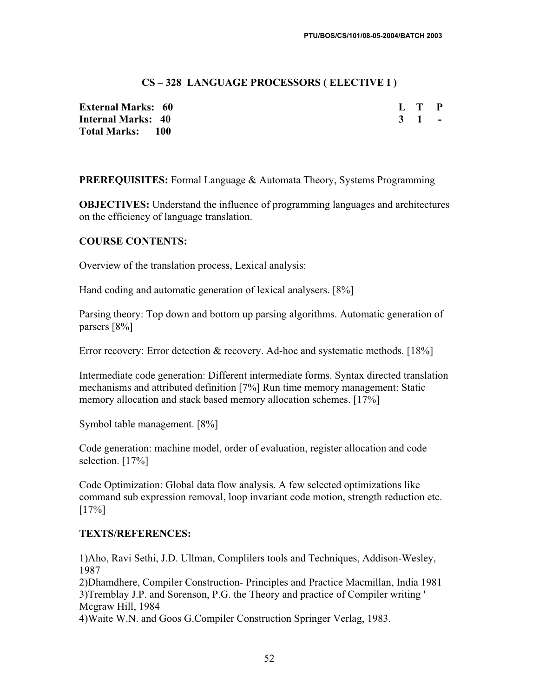# **CS – 328 LANGUAGE PROCESSORS ( ELECTIVE I )**

**External Marks: 60 L T P Internal Marks: 40 3 1 - 3 2 1 - 3 2 1 - 3 2 1 - 3 2 1 - 3 2 1 - 3 2 1 - 3 2 1 - 3 2 1 - 3 2 1 - 3 2 1 - 3 2 1 - 3 2 1 - 3 2 1 - 3 2 1 - 3 2 1 - 3 2 1 - 3 2 1 - 3 2 1 - 3 2 1 - 3 2 1 - 3 2 1 - 3 2 1 - 3 2 1 - 3 2 1 - 3 2 Total Marks: 100** 

**PREREQUISITES:** Formal Language & Automata Theory, Systems Programming

**OBJECTIVES:** Understand the influence of programming languages and architectures on the efficiency of language translation.

# **COURSE CONTENTS:**

Overview of the translation process, Lexical analysis:

Hand coding and automatic generation of lexical analysers. [8%]

Parsing theory: Top down and bottom up parsing algorithms. Automatic generation of parsers [8%]

Error recovery: Error detection & recovery. Ad-hoc and systematic methods. [18%]

Intermediate code generation: Different intermediate forms. Syntax directed translation mechanisms and attributed definition [7%] Run time memory management: Static memory allocation and stack based memory allocation schemes. [17%]

Symbol table management. [8%]

Code generation: machine model, order of evaluation, register allocation and code selection. [17%]

Code Optimization: Global data flow analysis. A few selected optimizations like command sub expression removal, loop invariant code motion, strength reduction etc.  $[17%]$ 

# **TEXTS/REFERENCES:**

1)Aho, Ravi Sethi, J.D. Ullman, Complilers tools and Techniques, Addison-Wesley, 1987

2)Dhamdhere, Compiler Construction- Principles and Practice Macmillan, India 1981 3)Tremblay J.P. and Sorenson, P.G. the Theory and practice of Compiler writing ' Mcgraw Hill, 1984

4)Waite W.N. and Goos G.Compiler Construction Springer Verlag, 1983.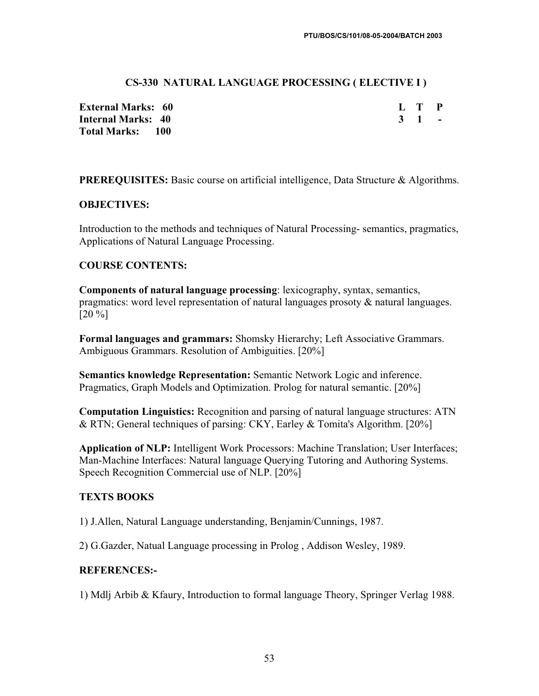## **CS-330 NATURAL LANGUAGE PROCESSING ( ELECTIVE I )**

**External Marks: 60 L T P Internal Marks: 40 3 1 - 3 2 1 - 3 2 1 - 3 2 1 - 3 2 1 - 3 2 1 - 3 2 1 - 3 2 1 - 3 2 1 - 3 2 1 - 3 2 1 - 3 2 1 - 3 2 1 - 3 2 1 - 3 2 1 - 3 2 1 - 3 2 1 - 3 2 1 - 3 2 1 - 3 2 1 - 3 2 1 - 3 2 1 - 3 2 1 - 3 2 1 - 3 2 1 - 3 2 Total Marks: 100** 

**PREREQUISITES:** Basic course on artificial intelligence, Data Structure & Algorithms.

#### **OBJECTIVES:**

Introduction to the methods and techniques of Natural Processing- semantics, pragmatics, Applications of Natural Language Processing.

#### **COURSE CONTENTS:**

**Components of natural language processing**: lexicography, syntax, semantics, pragmatics: word level representation of natural languages prosoty  $\&$  natural languages. [20 %]

**Formal languages and grammars:** Shomsky Hierarchy; Left Associative Grammars. Ambiguous Grammars. Resolution of Ambiguities. [20%]

**Semantics knowledge Representation:** Semantic Network Logic and inference. Pragmatics, Graph Models and Optimization. Prolog for natural semantic. [20%]

**Computation Linguistics:** Recognition and parsing of natural language structures: ATN & RTN; General techniques of parsing: CKY, Earley & Tomita's Algorithm. [20%]

**Application of NLP:** Intelligent Work Processors: Machine Translation; User Interfaces; Man-Machine Interfaces: Natural language Querying Tutoring and Authoring Systems. Speech Recognition Commercial use of NLP. [20%]

## **TEXTS BOOKS**

1) J.Allen, Natural Language understanding, Benjamin/Cunnings, 1987.

2) G.Gazder, Natual Language processing in Prolog , Addison Wesley, 1989.

#### **REFERENCES:-**

1) Mdlj Arbib & Kfaury, Introduction to formal language Theory, Springer Verlag 1988.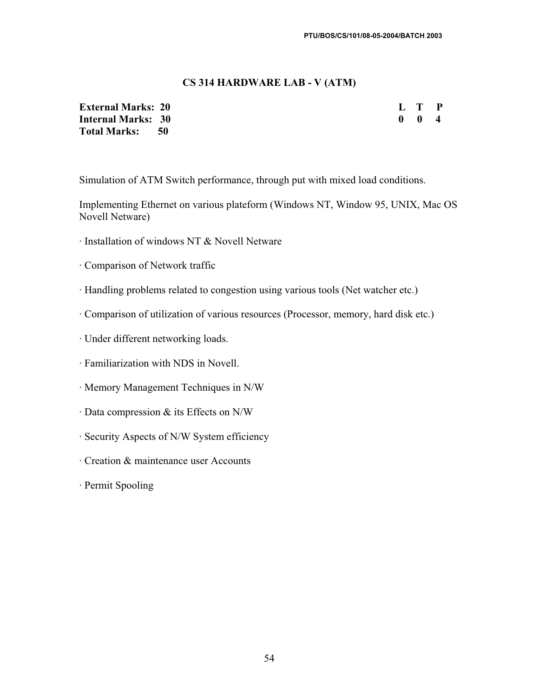#### **CS 314 HARDWARE LAB - V (ATM)**

**External Marks: 20 Internal Marks: 30**<br>Total Marks: 50 **Total Marks:** 

| L | T           | P                       |
|---|-------------|-------------------------|
| 0 | $\mathbf 0$ | $\overline{\mathbf{4}}$ |

Simulation of ATM Switch performance, through put with mixed load conditions.

Implementing Ethernet on various plateform (Windows NT, Window 95, UNIX, Mac OS Novell Netware)

- · Installation of windows NT & Novell Netware
- · Comparison of Network traffic
- · Handling problems related to congestion using various tools (Net watcher etc.)
- · Comparison of utilization of various resources (Processor, memory, hard disk etc.)
- · Under different networking loads.
- · Familiarization with NDS in Novell.
- · Memory Management Techniques in N/W
- · Data compression & its Effects on N/W
- · Security Aspects of N/W System efficiency
- · Creation & maintenance user Accounts
- · Permit Spooling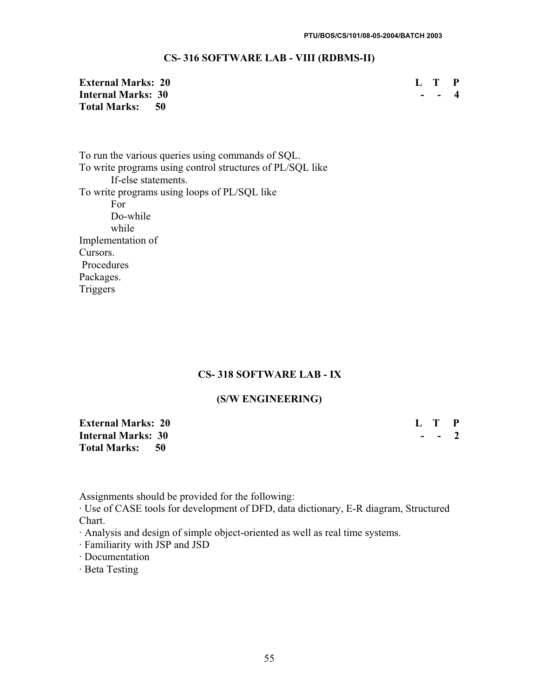#### **CS- 316 SOFTWARE LAB - VIII (RDBMS-II)**

# **External Marks: 20 L T P Internal Marks: 30 - - 4 Total Marks: 50**

To run the various queries using commands of SQL. To write programs using control structures of PL/SQL like If-else statements. To write programs using loops of PL/SQL like For Do-while while Implementation of Cursors. Procedures Packages. Triggers

## **CS- 318 SOFTWARE LAB - IX**

#### **(S/W ENGINEERING)**

**External Marks: 20 L T P Internal Marks: 30 - - 2 Total Marks: 50** 

Assignments should be provided for the following:

· Use of CASE tools for development of DFD, data dictionary, E-R diagram, Structured Chart.

· Analysis and design of simple object-oriented as well as real time systems.

- · Familiarity with JSP and JSD
- · Documentation
- · Beta Testing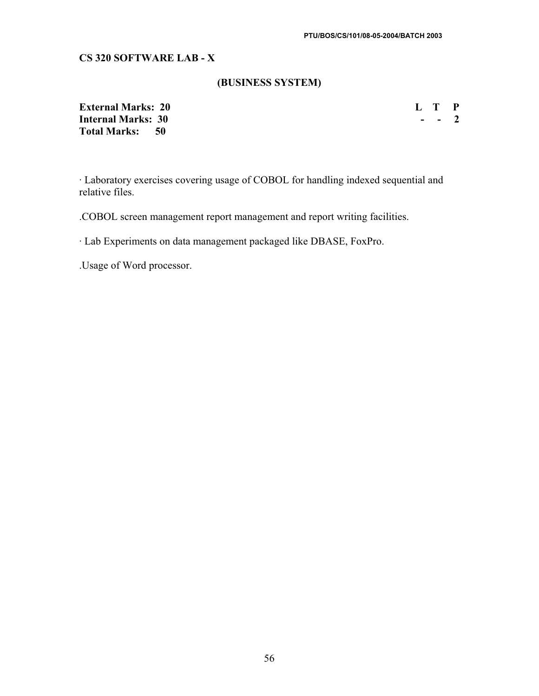## **CS 320 SOFTWARE LAB - X**

# **(BUSINESS SYSTEM)**

**External Marks: 20 L T P Internal Marks: 30 - - 2 Total Marks: 50** 

· Laboratory exercises covering usage of COBOL for handling indexed sequential and relative files.

.COBOL screen management report management and report writing facilities.

· Lab Experiments on data management packaged like DBASE, FoxPro.

.Usage of Word processor.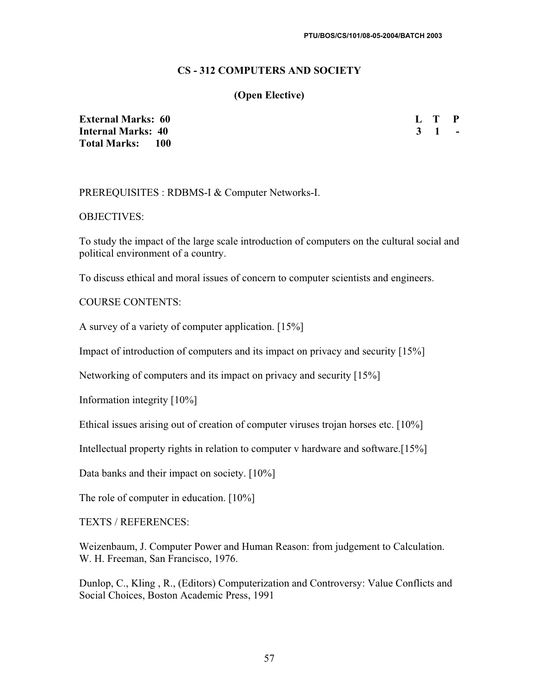## **CS - 312 COMPUTERS AND SOCIETY**

## **(Open Elective)**

**External Marks: 60 Internal Marks: 40 Total Marks: 100** 

| Т.           | T | P |
|--------------|---|---|
| $\mathbf{R}$ | т |   |

PREREQUISITES : RDBMS-I & Computer Networks-I.

OBJECTIVES:

To study the impact of the large scale introduction of computers on the cultural social and political environment of a country.

To discuss ethical and moral issues of concern to computer scientists and engineers.

COURSE CONTENTS:

A survey of a variety of computer application. [15%]

Impact of introduction of computers and its impact on privacy and security [15%]

Networking of computers and its impact on privacy and security [15%]

Information integrity [10%]

Ethical issues arising out of creation of computer viruses trojan horses etc. [10%]

Intellectual property rights in relation to computer v hardware and software.[15%]

Data banks and their impact on society. [10%]

The role of computer in education. [10%]

TEXTS / REFERENCES:

Weizenbaum, J. Computer Power and Human Reason: from judgement to Calculation. W. H. Freeman, San Francisco, 1976.

Dunlop, C., Kling , R., (Editors) Computerization and Controversy: Value Conflicts and Social Choices, Boston Academic Press, 1991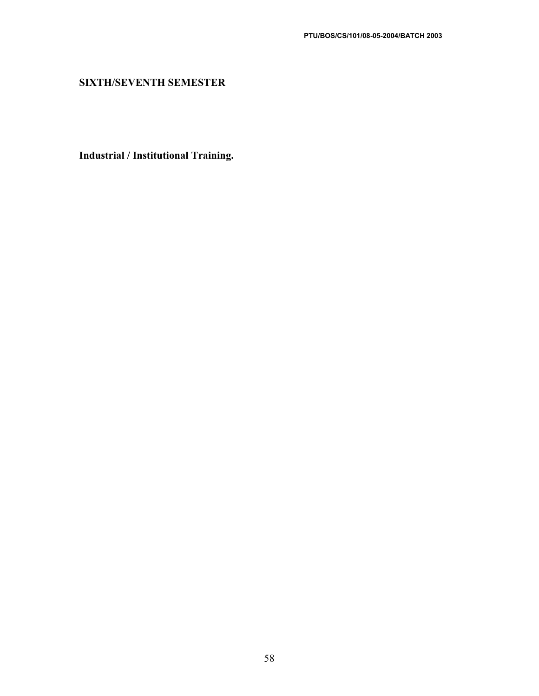# **SIXTH/SEVENTH SEMESTER**

**Industrial / Institutional Training.**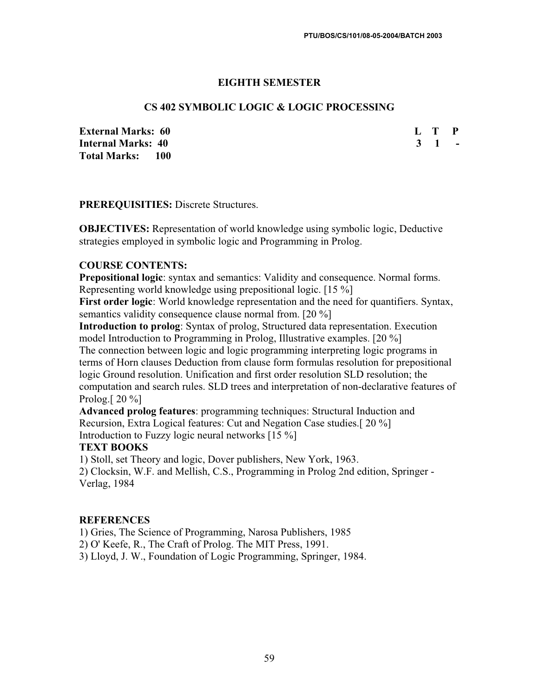## **EIGHTH SEMESTER**

## **CS 402 SYMBOLIC LOGIC & LOGIC PROCESSING**

**External Marks: 60 L T P L T P Internal Marks: 40 5 - 20 3 - 20 3 - 20 4 5 - 20 3 - 20 4 5 - 20 4 5 - 20 4 5 - 20 4 5 - 20 4 5 - 20 4 5 - 20 4 5 - 20 4 5 - 20 4 5 - 20 4 5 - 20 4 5 - 20 4 5 - 20 4 5 - 20 4 5 - 20 4 5 - 20 4 5 - 20 4 5 - 20 4 5 - 20 4 5 Total Marks: 100** 

**PREREQUISITIES:** Discrete Structures.

**OBJECTIVES:** Representation of world knowledge using symbolic logic, Deductive strategies employed in symbolic logic and Programming in Prolog.

## **COURSE CONTENTS:**

**Prepositional logic**: syntax and semantics: Validity and consequence. Normal forms. Representing world knowledge using prepositional logic. [15 %]

First order logic: World knowledge representation and the need for quantifiers. Syntax, semantics validity consequence clause normal from. [20 %]

**Introduction to prolog**: Syntax of prolog, Structured data representation. Execution model Introduction to Programming in Prolog, Illustrative examples. [20 %] The connection between logic and logic programming interpreting logic programs in terms of Horn clauses Deduction from clause form formulas resolution for prepositional logic Ground resolution. Unification and first order resolution SLD resolution; the computation and search rules. SLD trees and interpretation of non-declarative features of Prolog.[ 20 %]

**Advanced prolog features**: programming techniques: Structural Induction and Recursion, Extra Logical features: Cut and Negation Case studies.[ 20 %] Introduction to Fuzzy logic neural networks [15 %]

# **TEXT BOOKS**

1) Stoll, set Theory and logic, Dover publishers, New York, 1963.

2) Clocksin, W.F. and Mellish, C.S., Programming in Prolog 2nd edition, Springer - Verlag, 1984

# **REFERENCES**

1) Gries, The Science of Programming, Narosa Publishers, 1985

2) O' Keefe, R., The Craft of Prolog. The MIT Press, 1991.

3) Lloyd, J. W., Foundation of Logic Programming, Springer, 1984.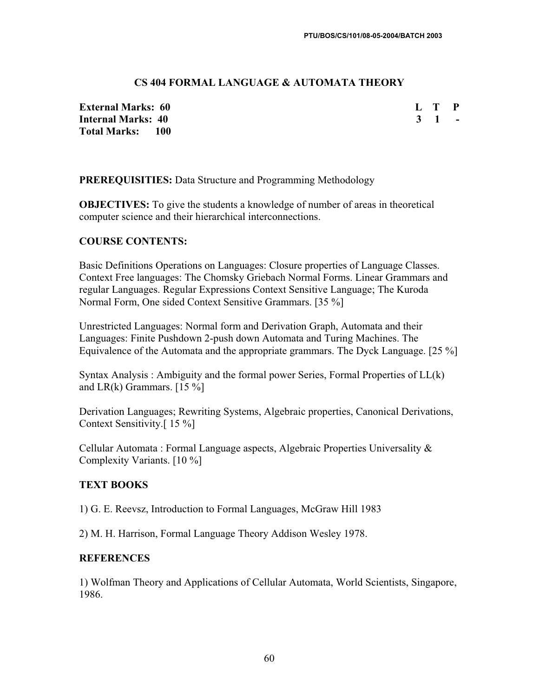# **CS 404 FORMAL LANGUAGE & AUTOMATA THEORY**

**External Marks: 60 L T P L T P Internal Marks: 40 3 1 - 3 2 1 - 3 2 1 - 3 2 1 - 3 2 1 - 3 2 1 - 3 2 1 - 3 2 1 - 3 2 1 - 3 2 1 - 3 2 1 - 3 2 1 - 3 2 1 - 3 2 1 - 3 2 1 - 3 2 1 - 3 2 1 - 3 2 1 - 3 2 1 - 3 2 1 - 3 2 1 - 3 2 1 - 5 2 1 - 5 2 1 - 5 2 1 - 5 2 Total Marks: 100** 

**PREREQUISITIES:** Data Structure and Programming Methodology

**OBJECTIVES:** To give the students a knowledge of number of areas in theoretical computer science and their hierarchical interconnections.

# **COURSE CONTENTS:**

Basic Definitions Operations on Languages: Closure properties of Language Classes. Context Free languages: The Chomsky Griebach Normal Forms. Linear Grammars and regular Languages. Regular Expressions Context Sensitive Language; The Kuroda Normal Form, One sided Context Sensitive Grammars. [35 %]

Unrestricted Languages: Normal form and Derivation Graph, Automata and their Languages: Finite Pushdown 2-push down Automata and Turing Machines. The Equivalence of the Automata and the appropriate grammars. The Dyck Language. [25 %]

Syntax Analysis : Ambiguity and the formal power Series, Formal Properties of LL(k) and LR(k) Grammars.  $[15\%]$ 

Derivation Languages; Rewriting Systems, Algebraic properties, Canonical Derivations, Context Sensitivity.[ 15 %]

Cellular Automata : Formal Language aspects, Algebraic Properties Universality & Complexity Variants. [10 %]

# **TEXT BOOKS**

1) G. E. Reevsz, Introduction to Formal Languages, McGraw Hill 1983

2) M. H. Harrison, Formal Language Theory Addison Wesley 1978.

# **REFERENCES**

1) Wolfman Theory and Applications of Cellular Automata, World Scientists, Singapore, 1986.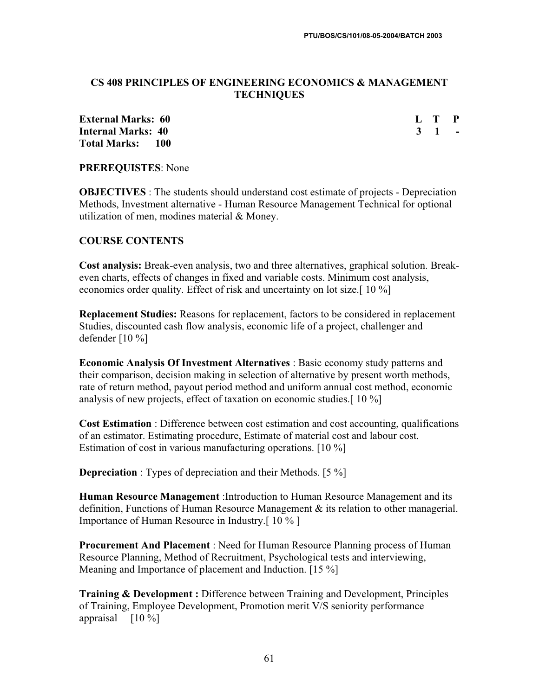## **CS 408 PRINCIPLES OF ENGINEERING ECONOMICS & MANAGEMENT TECHNIQUES**

**External Marks: 60 L T P**<br> **Internal Marks: 40 L T P Internal Marks: 40 Total Marks: 100** 

#### **PREREQUISTES**: None

**OBJECTIVES** : The students should understand cost estimate of projects - Depreciation Methods, Investment alternative - Human Resource Management Technical for optional utilization of men, modines material & Money.

#### **COURSE CONTENTS**

**Cost analysis:** Break-even analysis, two and three alternatives, graphical solution. Breakeven charts, effects of changes in fixed and variable costs. Minimum cost analysis, economics order quality. Effect of risk and uncertainty on lot size.[10 %]

**Replacement Studies:** Reasons for replacement, factors to be considered in replacement Studies, discounted cash flow analysis, economic life of a project, challenger and defender [10 %]

**Economic Analysis Of Investment Alternatives** : Basic economy study patterns and their comparison, decision making in selection of alternative by present worth methods, rate of return method, payout period method and uniform annual cost method, economic analysis of new projects, effect of taxation on economic studies.[ 10 %]

**Cost Estimation** : Difference between cost estimation and cost accounting, qualifications of an estimator. Estimating procedure, Estimate of material cost and labour cost. Estimation of cost in various manufacturing operations. [10 %]

**Depreciation** : Types of depreciation and their Methods. [5 %]

**Human Resource Management** :Introduction to Human Resource Management and its definition, Functions of Human Resource Management & its relation to other managerial. Importance of Human Resource in Industry.[ 10 % ]

**Procurement And Placement** : Need for Human Resource Planning process of Human Resource Planning, Method of Recruitment, Psychological tests and interviewing, Meaning and Importance of placement and Induction. [15 %]

**Training & Development :** Difference between Training and Development, Principles of Training, Employee Development, Promotion merit V/S seniority performance appraisal  $[10 \frac{\%}{\text{m}}]$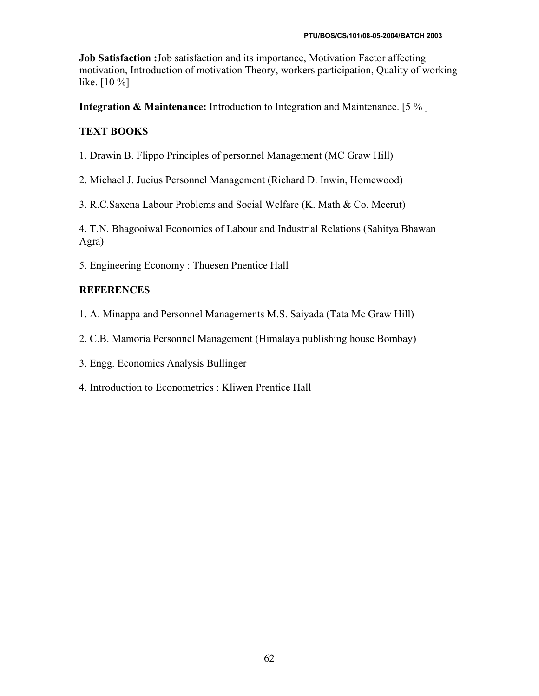**Job Satisfaction :**Job satisfaction and its importance, Motivation Factor affecting motivation, Introduction of motivation Theory, workers participation, Quality of working like. [10 %]

**Integration & Maintenance:** Introduction to Integration and Maintenance. [5  $\%$ ]

# **TEXT BOOKS**

1. Drawin B. Flippo Principles of personnel Management (MC Graw Hill)

2. Michael J. Jucius Personnel Management (Richard D. Inwin, Homewood)

3. R.C.Saxena Labour Problems and Social Welfare (K. Math & Co. Meerut)

4. T.N. Bhagooiwal Economics of Labour and Industrial Relations (Sahitya Bhawan Agra)

5. Engineering Economy : Thuesen Pnentice Hall

# **REFERENCES**

- 1. A. Minappa and Personnel Managements M.S. Saiyada (Tata Mc Graw Hill)
- 2. C.B. Mamoria Personnel Management (Himalaya publishing house Bombay)
- 3. Engg. Economics Analysis Bullinger
- 4. Introduction to Econometrics : Kliwen Prentice Hall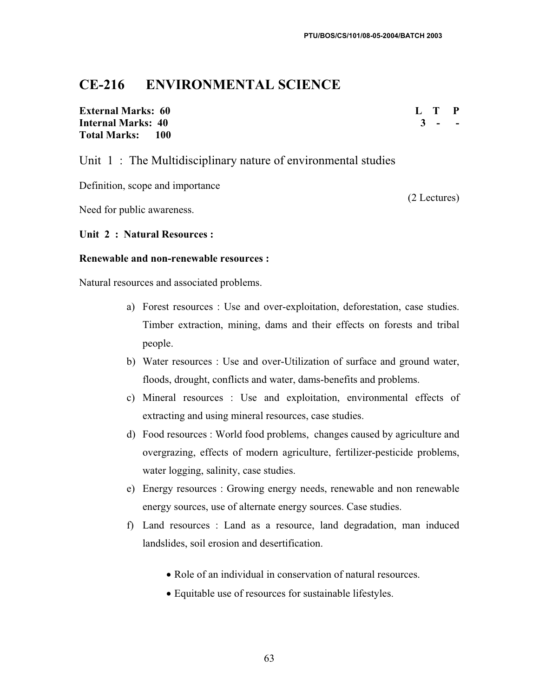# **CE-216 ENVIRONMENTAL SCIENCE**

## **External Marks: 60 L T P Internal Marks: 40 3 - - Total Marks: 100**

# Unit 1: The Multidisciplinary nature of environmental studies

Definition, scope and importance

Need for public awareness.

#### **Unit 2 : Natural Resources :**

#### **Renewable and non-renewable resources :**

Natural resources and associated problems.

- a) Forest resources : Use and over-exploitation, deforestation, case studies. Timber extraction, mining, dams and their effects on forests and tribal people.
- b) Water resources : Use and over-Utilization of surface and ground water, floods, drought, conflicts and water, dams-benefits and problems.
- c) Mineral resources : Use and exploitation, environmental effects of extracting and using mineral resources, case studies.
- d) Food resources : World food problems, changes caused by agriculture and overgrazing, effects of modern agriculture, fertilizer-pesticide problems, water logging, salinity, case studies.
- e) Energy resources : Growing energy needs, renewable and non renewable energy sources, use of alternate energy sources. Case studies.
- f) Land resources : Land as a resource, land degradation, man induced landslides, soil erosion and desertification.
	- Role of an individual in conservation of natural resources.
	- Equitable use of resources for sustainable lifestyles.

(2 Lectures)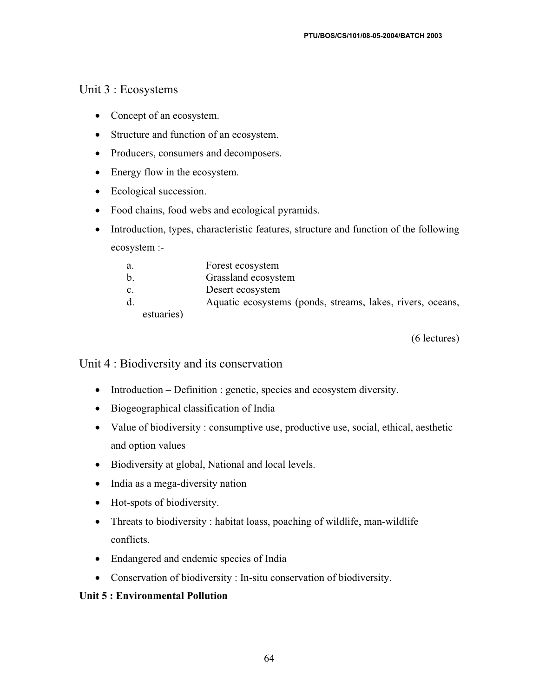# Unit 3 : Ecosystems

- Concept of an ecosystem.
- Structure and function of an ecosystem.
- Producers, consumers and decomposers.
- Energy flow in the ecosystem.
- Ecological succession.
- Food chains, food webs and ecological pyramids.
- Introduction, types, characteristic features, structure and function of the following ecosystem :-

| a. |            | Forest ecosystem                                           |
|----|------------|------------------------------------------------------------|
| b. |            | Grassland ecosystem                                        |
| c. |            | Desert ecosystem                                           |
| d. |            | Aquatic ecosystems (ponds, streams, lakes, rivers, oceans, |
|    | estuaries) |                                                            |

(6 lectures)

# Unit 4 : Biodiversity and its conservation

- $\bullet$  Introduction Definition : genetic, species and ecosystem diversity.
- Biogeographical classification of India
- Value of biodiversity : consumptive use, productive use, social, ethical, aesthetic and option values
- Biodiversity at global, National and local levels.
- $\bullet$  India as a mega-diversity nation
- Hot-spots of biodiversity.
- $\bullet$  Threats to biodiversity : habitat loass, poaching of wildlife, man-wildlife conflicts.
- Endangered and endemic species of India
- Conservation of biodiversity : In-situ conservation of biodiversity.

#### **Unit 5 : Environmental Pollution**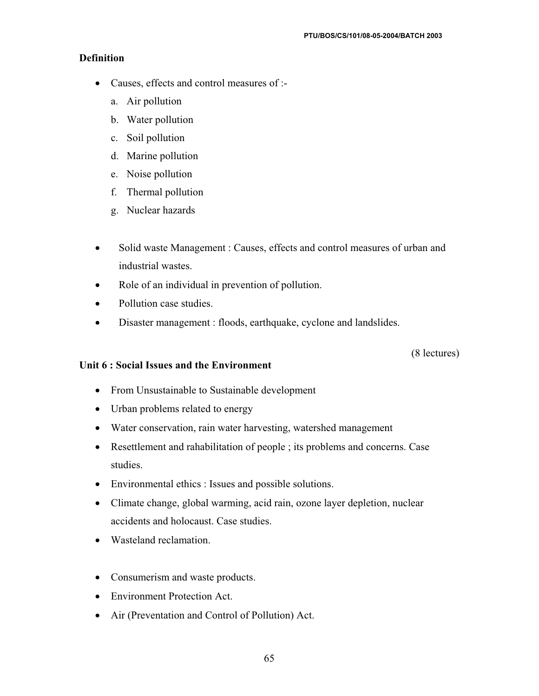# **Definition**

- Causes, effects and control measures of :
	- a. Air pollution
	- b. Water pollution
	- c. Soil pollution
	- d. Marine pollution
	- e. Noise pollution
	- f. Thermal pollution
	- g. Nuclear hazards
- Solid waste Management : Causes, effects and control measures of urban and industrial wastes.
- Role of an individual in prevention of pollution.
- Pollution case studies.
- Disaster management : floods, earthquake, cyclone and landslides.

(8 lectures)

# **Unit 6 : Social Issues and the Environment**

- From Unsustainable to Sustainable development
- Urban problems related to energy
- Water conservation, rain water harvesting, watershed management
- $\bullet$  Resettlement and rahabilitation of people ; its problems and concerns. Case studies.
- Environmental ethics : Issues and possible solutions.
- Climate change, global warming, acid rain, ozone layer depletion, nuclear accidents and holocaust. Case studies.
- Wasteland reclamation.
- Consumerism and waste products.
- Environment Protection Act.
- Air (Preventation and Control of Pollution) Act.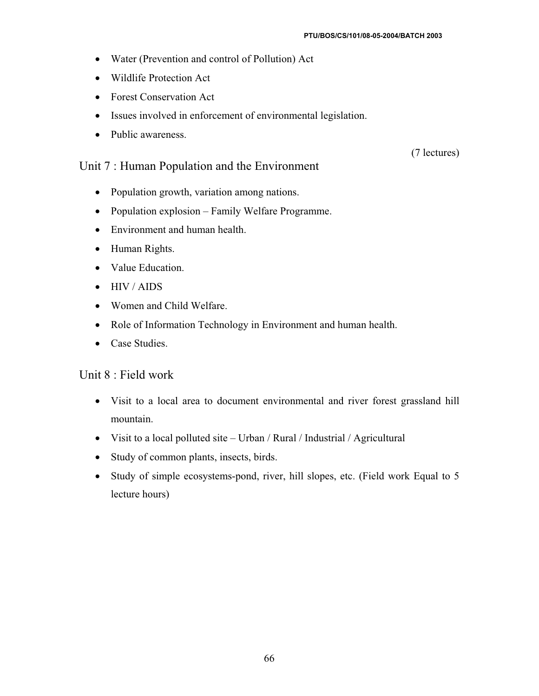- Water (Prevention and control of Pollution) Act
- Wildlife Protection Act
- Forest Conservation Act
- Issues involved in enforcement of environmental legislation.
- Public awareness.

# Unit 7 : Human Population and the Environment

- Population growth, variation among nations.
- Population explosion Family Welfare Programme.
- $\bullet$  Environment and human health.
- Human Rights.
- Value Education.
- $\bullet$  HIV / AIDS
- Women and Child Welfare.
- Role of Information Technology in Environment and human health.
- Case Studies.

# Unit 8 : Field work

- Visit to a local area to document environmental and river forest grassland hill mountain.
- Visit to a local polluted site Urban / Rural / Industrial / Agricultural
- Study of common plants, insects, birds.
- $\bullet$  Study of simple ecosystems-pond, river, hill slopes, etc. (Field work Equal to 5 lecture hours)

66

(7 lectures)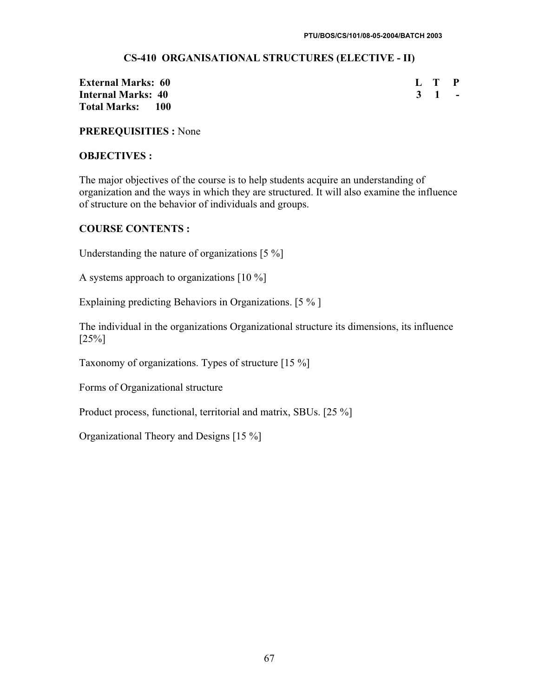# **CS-410 ORGANISATIONAL STRUCTURES (ELECTIVE - II)**

## **External Marks: 60 L T P L T P Internal Marks: 40 3 1 - Total Marks: 100**

**PREREQUISITIES :** None

# **OBJECTIVES :**

The major objectives of the course is to help students acquire an understanding of organization and the ways in which they are structured. It will also examine the influence of structure on the behavior of individuals and groups.

# **COURSE CONTENTS :**

Understanding the nature of organizations [5 %]

A systems approach to organizations [10 %]

Explaining predicting Behaviors in Organizations. [5 % ]

The individual in the organizations Organizational structure its dimensions, its influence [25%]

Taxonomy of organizations. Types of structure [15 %]

Forms of Organizational structure

Product process, functional, territorial and matrix, SBUs. [25 %]

Organizational Theory and Designs [15 %]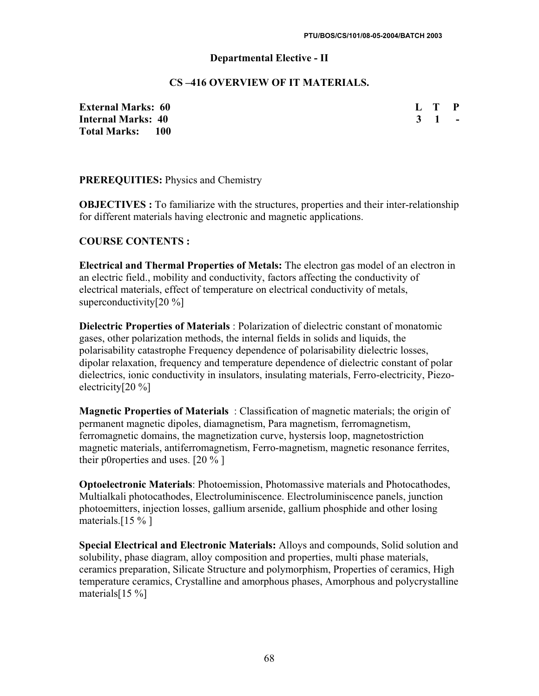#### **Departmental Elective - II**

#### **CS –416 OVERVIEW OF IT MATERIALS.**

**External Marks: 60 L T P L T P Internal Marks: 40 3 1 - Total Marks: 100** 

**PREREQUITIES:** Physics and Chemistry

**OBJECTIVES**: To familiarize with the structures, properties and their inter-relationship for different materials having electronic and magnetic applications.

#### **COURSE CONTENTS :**

**Electrical and Thermal Properties of Metals:** The electron gas model of an electron in an electric field., mobility and conductivity, factors affecting the conductivity of electrical materials, effect of temperature on electrical conductivity of metals, superconductivity[20 %]

**Dielectric Properties of Materials** : Polarization of dielectric constant of monatomic gases, other polarization methods, the internal fields in solids and liquids, the polarisability catastrophe Frequency dependence of polarisability dielectric losses, dipolar relaxation, frequency and temperature dependence of dielectric constant of polar dielectrics, ionic conductivity in insulators, insulating materials, Ferro-electricity, Piezoelectricity[20 %]

**Magnetic Properties of Materials** : Classification of magnetic materials; the origin of permanent magnetic dipoles, diamagnetism, Para magnetism, ferromagnetism, ferromagnetic domains, the magnetization curve, hystersis loop, magnetostriction magnetic materials, antiferromagnetism, Ferro-magnetism, magnetic resonance ferrites, their p0roperties and uses. [20 % ]

**Optoelectronic Materials**: Photoemission, Photomassive materials and Photocathodes, Multialkali photocathodes, Electroluminiscence. Electroluminiscence panels, junction photoemitters, injection losses, gallium arsenide, gallium phosphide and other losing materials.[15 % ]

**Special Electrical and Electronic Materials:** Alloys and compounds, Solid solution and solubility, phase diagram, alloy composition and properties, multi phase materials, ceramics preparation, Silicate Structure and polymorphism, Properties of ceramics, High temperature ceramics, Crystalline and amorphous phases, Amorphous and polycrystalline materials[15 %]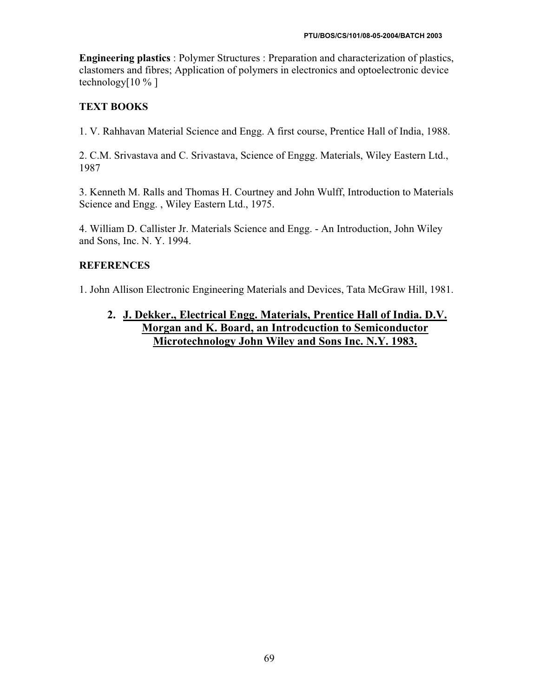**Engineering plastics** : Polymer Structures : Preparation and characterization of plastics, clastomers and fibres; Application of polymers in electronics and optoelectronic device technology $[10 \%]$ 

# **TEXT BOOKS**

1. V. Rahhavan Material Science and Engg. A first course, Prentice Hall of India, 1988.

2. C.M. Srivastava and C. Srivastava, Science of Enggg. Materials, Wiley Eastern Ltd., 1987

3. Kenneth M. Ralls and Thomas H. Courtney and John Wulff, Introduction to Materials Science and Engg. , Wiley Eastern Ltd., 1975.

4. William D. Callister Jr. Materials Science and Engg. - An Introduction, John Wiley and Sons, Inc. N. Y. 1994.

# **REFERENCES**

1. John Allison Electronic Engineering Materials and Devices, Tata McGraw Hill, 1981.

# **2. J. Dekker., Electrical Engg. Materials, Prentice Hall of India. D.V. Morgan and K. Board, an Introdcuction to Semiconductor Microtechnology John Wiley and Sons Inc. N.Y. 1983.**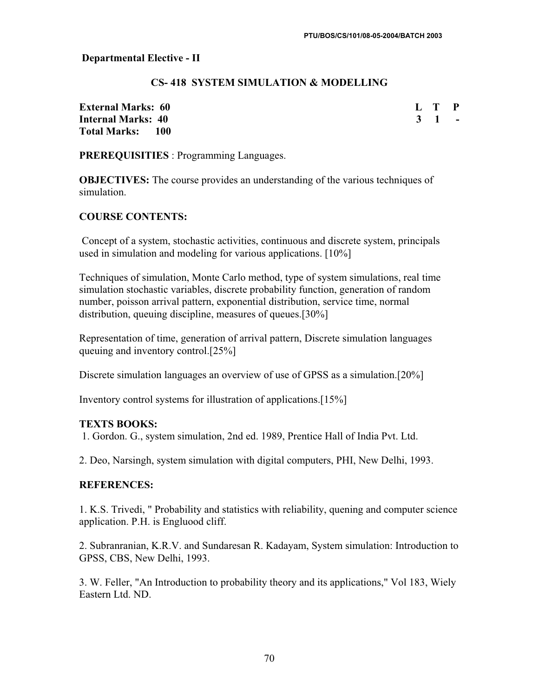**Departmental Elective - II**

## **CS- 418 SYSTEM SIMULATION & MODELLING**

**External Marks: 60 L T P L T P Internal Marks: 40 3 1 - Total Marks: 100** 

**PREREQUISITIES** : Programming Languages.

**OBJECTIVES:** The course provides an understanding of the various techniques of simulation.

## **COURSE CONTENTS:**

 Concept of a system, stochastic activities, continuous and discrete system, principals used in simulation and modeling for various applications. [10%]

Techniques of simulation, Monte Carlo method, type of system simulations, real time simulation stochastic variables, discrete probability function, generation of random number, poisson arrival pattern, exponential distribution, service time, normal distribution, queuing discipline, measures of queues.[30%]

Representation of time, generation of arrival pattern, Discrete simulation languages queuing and inventory control.[25%]

Discrete simulation languages an overview of use of GPSS as a simulation.[20%]

Inventory control systems for illustration of applications.[15%]

#### **TEXTS BOOKS:**

1. Gordon. G., system simulation, 2nd ed. 1989, Prentice Hall of India Pvt. Ltd.

2. Deo, Narsingh, system simulation with digital computers, PHI, New Delhi, 1993.

## **REFERENCES:**

1. K.S. Trivedi, " Probability and statistics with reliability, quening and computer science application. P.H. is Engluood cliff.

2. Subranranian, K.R.V. and Sundaresan R. Kadayam, System simulation: Introduction to GPSS, CBS, New Delhi, 1993.

3. W. Feller, "An Introduction to probability theory and its applications," Vol 183, Wiely Eastern Ltd. ND.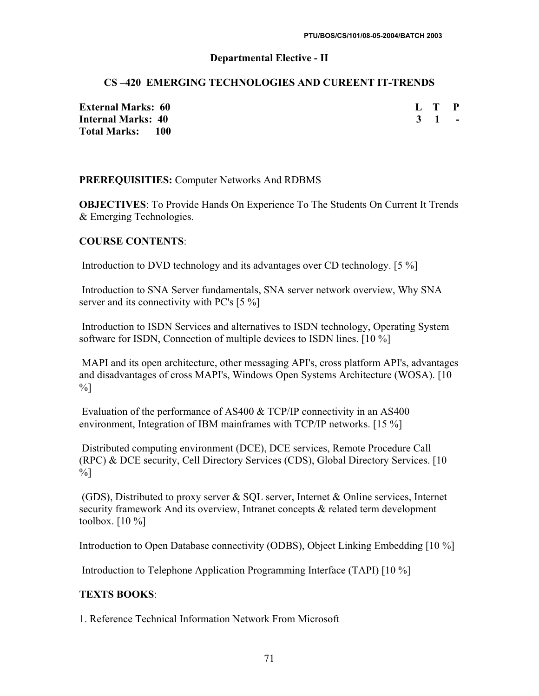## **Departmental Elective - II**

### **CS –420 EMERGING TECHNOLOGIES AND CUREENT IT-TRENDS**

**External Marks: 60 L T P L T P Internal Marks: 40 3 1 - Total Marks: 100** 

# **PREREQUISITIES:** Computer Networks And RDBMS

**OBJECTIVES**: To Provide Hands On Experience To The Students On Current It Trends & Emerging Technologies.

## **COURSE CONTENTS**:

Introduction to DVD technology and its advantages over CD technology. [5 %]

 Introduction to SNA Server fundamentals, SNA server network overview, Why SNA server and its connectivity with PC's [5 %]

 Introduction to ISDN Services and alternatives to ISDN technology, Operating System software for ISDN, Connection of multiple devices to ISDN lines. [10 %]

 MAPI and its open architecture, other messaging API's, cross platform API's, advantages and disadvantages of cross MAPI's, Windows Open Systems Architecture (WOSA). [10  $\%$ ]

 Evaluation of the performance of AS400 & TCP/IP connectivity in an AS400 environment, Integration of IBM mainframes with TCP/IP networks. [15 %]

 Distributed computing environment (DCE), DCE services, Remote Procedure Call (RPC) & DCE security, Cell Directory Services (CDS), Global Directory Services. [10  $\%$ ]

 (GDS), Distributed to proxy server & SQL server, Internet & Online services, Internet security framework And its overview, Intranet concepts  $\&$  related term development toolbox.  $[10\%]$ 

Introduction to Open Database connectivity (ODBS), Object Linking Embedding [10 %]

Introduction to Telephone Application Programming Interface (TAPI) [10 %]

## **TEXTS BOOKS**:

1. Reference Technical Information Network From Microsoft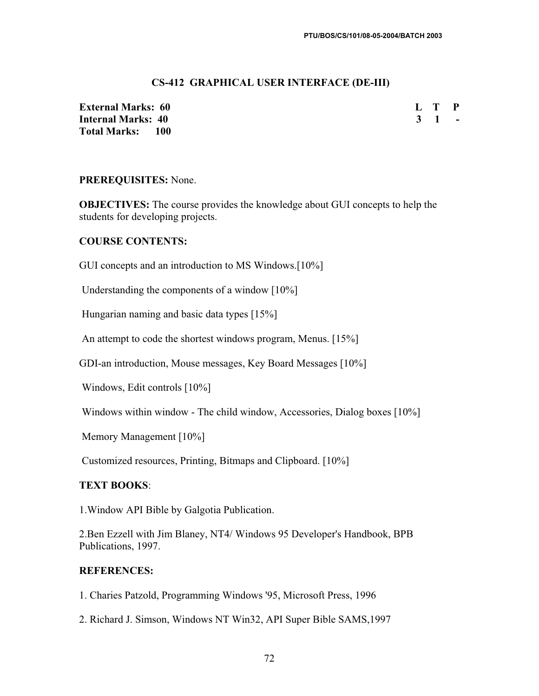## **CS-412 GRAPHICAL USER INTERFACE (DE-III)**

**External Marks: 60 L T P L T P Internal Marks: 40 3 1 - Total Marks: 100** 

#### **PREREQUISITES:** None.

**OBJECTIVES:** The course provides the knowledge about GUI concepts to help the students for developing projects.

### **COURSE CONTENTS:**

GUI concepts and an introduction to MS Windows.[10%]

Understanding the components of a window [10%]

Hungarian naming and basic data types [15%]

An attempt to code the shortest windows program, Menus. [15%]

GDI-an introduction, Mouse messages, Key Board Messages [10%]

Windows, Edit controls [10%]

Windows within window - The child window, Accessories, Dialog boxes [10%]

Memory Management [10%]

Customized resources, Printing, Bitmaps and Clipboard. [10%]

#### **TEXT BOOKS**:

1.Window API Bible by Galgotia Publication.

2.Ben Ezzell with Jim Blaney, NT4/ Windows 95 Developer's Handbook, BPB Publications, 1997.

# **REFERENCES:**

1. Charies Patzold, Programming Windows '95, Microsoft Press, 1996

2. Richard J. Simson, Windows NT Win32, API Super Bible SAMS,1997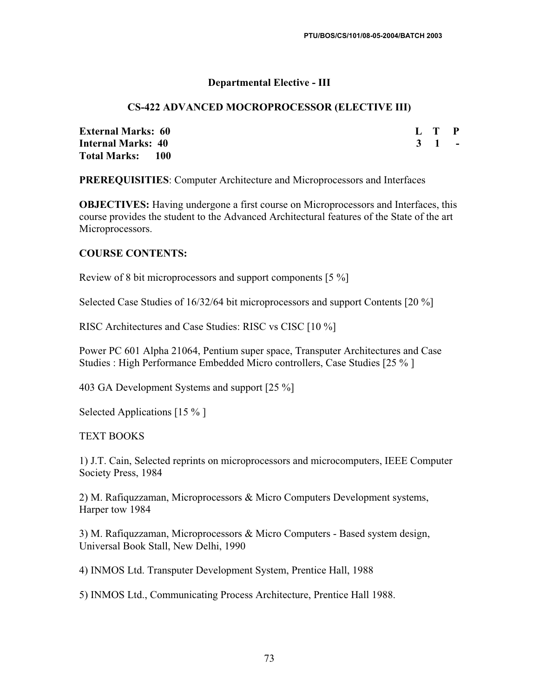## **CS-422 ADVANCED MOCROPROCESSOR (ELECTIVE III)**

**External Marks: 60 L T P L T P Total Marks: 100** 

**Internal Marks: 40 5 - 20 3 - 20 3 - 20 4 5 - 20 4 5 - 20 4 5 - 20 4 5 - 20 4 5 - 20 4 5 - 20 4 5 - 20 4 5 - 20 4 5 - 20 4 5 - 20 4 5 - 20 4 5 - 20 4 5 - 20 4 5 - 20 4 5 - 20 4 5 - 20 4 5 - 20 4 5 - 20 4 5 - 20 4 5 - 20 4** 

**PREREQUISITIES**: Computer Architecture and Microprocessors and Interfaces

**OBJECTIVES:** Having undergone a first course on Microprocessors and Interfaces, this course provides the student to the Advanced Architectural features of the State of the art Microprocessors.

# **COURSE CONTENTS:**

Review of 8 bit microprocessors and support components [5 %]

Selected Case Studies of 16/32/64 bit microprocessors and support Contents [20 %]

RISC Architectures and Case Studies: RISC vs CISC [10 %]

Power PC 601 Alpha 21064, Pentium super space, Transputer Architectures and Case Studies : High Performance Embedded Micro controllers, Case Studies [25 % ]

403 GA Development Systems and support [25 %]

Selected Applications [15 % ]

## TEXT BOOKS

1) J.T. Cain, Selected reprints on microprocessors and microcomputers, IEEE Computer Society Press, 1984

2) M. Rafiquzzaman, Microprocessors & Micro Computers Development systems, Harper tow 1984

3) M. Rafiquzzaman, Microprocessors & Micro Computers - Based system design, Universal Book Stall, New Delhi, 1990

4) INMOS Ltd. Transputer Development System, Prentice Hall, 1988

5) INMOS Ltd., Communicating Process Architecture, Prentice Hall 1988.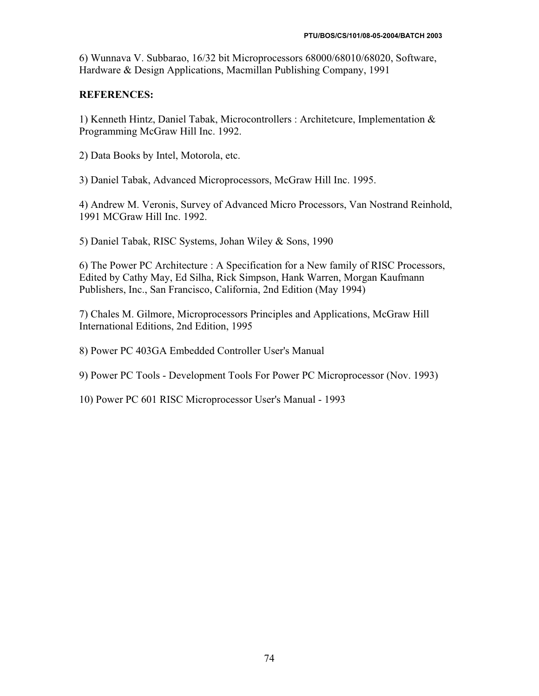6) Wunnava V. Subbarao, 16/32 bit Microprocessors 68000/68010/68020, Software, Hardware & Design Applications, Macmillan Publishing Company, 1991

# **REFERENCES:**

1) Kenneth Hintz, Daniel Tabak, Microcontrollers : Architetcure, Implementation & Programming McGraw Hill Inc. 1992.

2) Data Books by Intel, Motorola, etc.

3) Daniel Tabak, Advanced Microprocessors, McGraw Hill Inc. 1995.

4) Andrew M. Veronis, Survey of Advanced Micro Processors, Van Nostrand Reinhold, 1991 MCGraw Hill Inc. 1992.

5) Daniel Tabak, RISC Systems, Johan Wiley & Sons, 1990

6) The Power PC Architecture : A Specification for a New family of RISC Processors, Edited by Cathy May, Ed Silha, Rick Simpson, Hank Warren, Morgan Kaufmann Publishers, Inc., San Francisco, California, 2nd Edition (May 1994)

7) Chales M. Gilmore, Microprocessors Principles and Applications, McGraw Hill International Editions, 2nd Edition, 1995

8) Power PC 403GA Embedded Controller User's Manual

9) Power PC Tools - Development Tools For Power PC Microprocessor (Nov. 1993)

10) Power PC 601 RISC Microprocessor User's Manual - 1993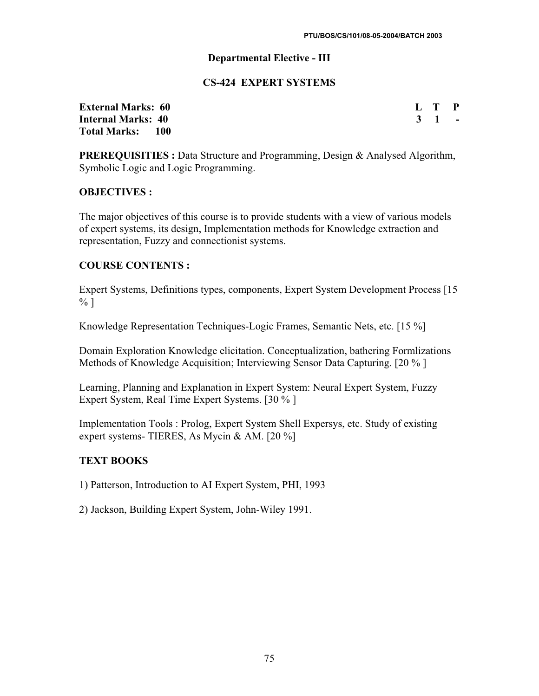## **CS-424 EXPERT SYSTEMS**

**External Marks: 60 L T P L T P Internal Marks: 40 3 1 - Total Marks: 100** 

**PREREQUISITIES :** Data Structure and Programming, Design & Analysed Algorithm, Symbolic Logic and Logic Programming.

#### **OBJECTIVES :**

The major objectives of this course is to provide students with a view of various models of expert systems, its design, Implementation methods for Knowledge extraction and representation, Fuzzy and connectionist systems.

### **COURSE CONTENTS :**

Expert Systems, Definitions types, components, Expert System Development Process [15  $\%$  ]

Knowledge Representation Techniques-Logic Frames, Semantic Nets, etc. [15 %]

Domain Exploration Knowledge elicitation. Conceptualization, bathering Formlizations Methods of Knowledge Acquisition; Interviewing Sensor Data Capturing. [20 % ]

Learning, Planning and Explanation in Expert System: Neural Expert System, Fuzzy Expert System, Real Time Expert Systems. [30 % ]

Implementation Tools : Prolog, Expert System Shell Expersys, etc. Study of existing expert systems- TIERES, As Mycin & AM. [20 %]

## **TEXT BOOKS**

1) Patterson, Introduction to AI Expert System, PHI, 1993

2) Jackson, Building Expert System, John-Wiley 1991.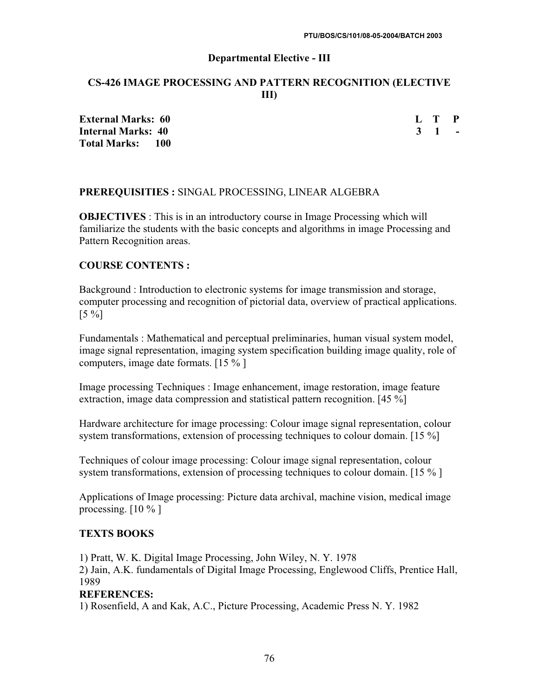# **CS-426 IMAGE PROCESSING AND PATTERN RECOGNITION (ELECTIVE III)**

**External Marks: 60 L T P**<br> **Internal Marks: 40 L T P Internal Marks: 40 Total Marks: 100** 

## **PREREQUISITIES :** SINGAL PROCESSING, LINEAR ALGEBRA

**OBJECTIVES** : This is in an introductory course in Image Processing which will familiarize the students with the basic concepts and algorithms in image Processing and Pattern Recognition areas.

## **COURSE CONTENTS :**

Background : Introduction to electronic systems for image transmission and storage, computer processing and recognition of pictorial data, overview of practical applications.  $[5 \frac{9}{0}]$ 

Fundamentals : Mathematical and perceptual preliminaries, human visual system model, image signal representation, imaging system specification building image quality, role of computers, image date formats. [15 % ]

Image processing Techniques : Image enhancement, image restoration, image feature extraction, image data compression and statistical pattern recognition. [45 %]

Hardware architecture for image processing: Colour image signal representation, colour system transformations, extension of processing techniques to colour domain. [15 %]

Techniques of colour image processing: Colour image signal representation, colour system transformations, extension of processing techniques to colour domain. [15 %]

Applications of Image processing: Picture data archival, machine vision, medical image processing.  $[10 \%]$ 

## **TEXTS BOOKS**

1) Pratt, W. K. Digital Image Processing, John Wiley, N. Y. 1978 2) Jain, A.K. fundamentals of Digital Image Processing, Englewood Cliffs, Prentice Hall, 1989 **REFERENCES:**

## 1) Rosenfield, A and Kak, A.C., Picture Processing, Academic Press N. Y. 1982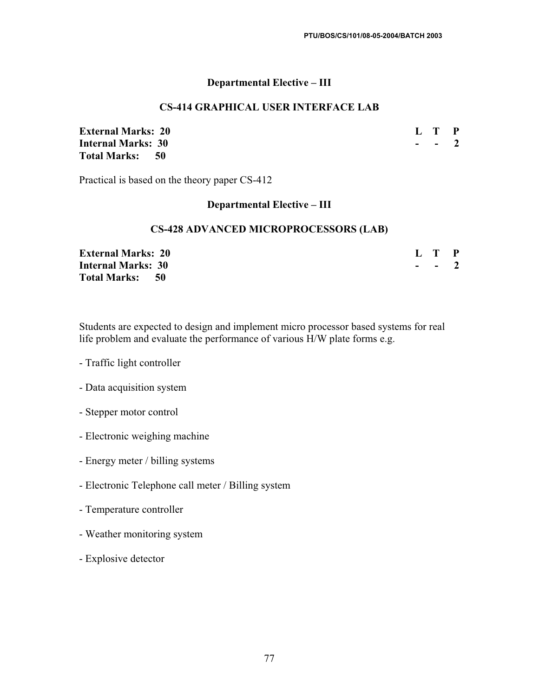## **CS-414 GRAPHICAL USER INTERFACE LAB**

**External Marks: 20 L T P L T P Internal Marks: 30 - - - - 2 Total Marks: 50** 

Practical is based on the theory paper CS-412

## **Departmental Elective – III**

## **CS-428 ADVANCED MICROPROCESSORS (LAB)**

| <b>External Marks: 20</b> | L T P   |  |
|---------------------------|---------|--|
| <b>Internal Marks: 30</b> | $- - 2$ |  |
| Total Marks: 50           |         |  |

Students are expected to design and implement micro processor based systems for real life problem and evaluate the performance of various H/W plate forms e.g.

- Traffic light controller
- Data acquisition system
- Stepper motor control
- Electronic weighing machine
- Energy meter / billing systems
- Electronic Telephone call meter / Billing system
- Temperature controller
- Weather monitoring system
- Explosive detector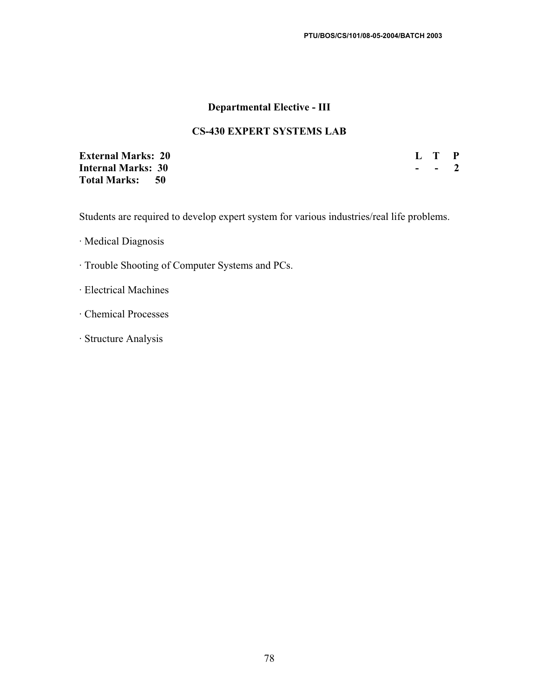# **CS-430 EXPERT SYSTEMS LAB**

**External Marks: 20 L T P Internal Marks: 30 - - 2 Total Marks: 50** 

Students are required to develop expert system for various industries/real life problems.

- · Medical Diagnosis
- · Trouble Shooting of Computer Systems and PCs.
- · Electrical Machines
- · Chemical Processes
- · Structure Analysis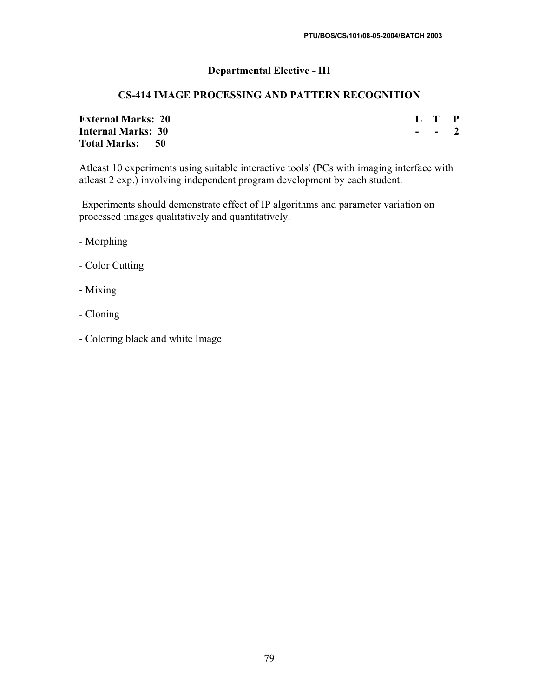# **CS-414 IMAGE PROCESSING AND PATTERN RECOGNITION**

| <b>External Marks: 20</b> | L T P   |  |
|---------------------------|---------|--|
| <b>Internal Marks: 30</b> | $- - 2$ |  |
| Total Marks: 50           |         |  |

Atleast 10 experiments using suitable interactive tools' (PCs with imaging interface with atleast 2 exp.) involving independent program development by each student.

 Experiments should demonstrate effect of IP algorithms and parameter variation on processed images qualitatively and quantitatively.

- Morphing
- Color Cutting
- Mixing
- Cloning
- Coloring black and white Image